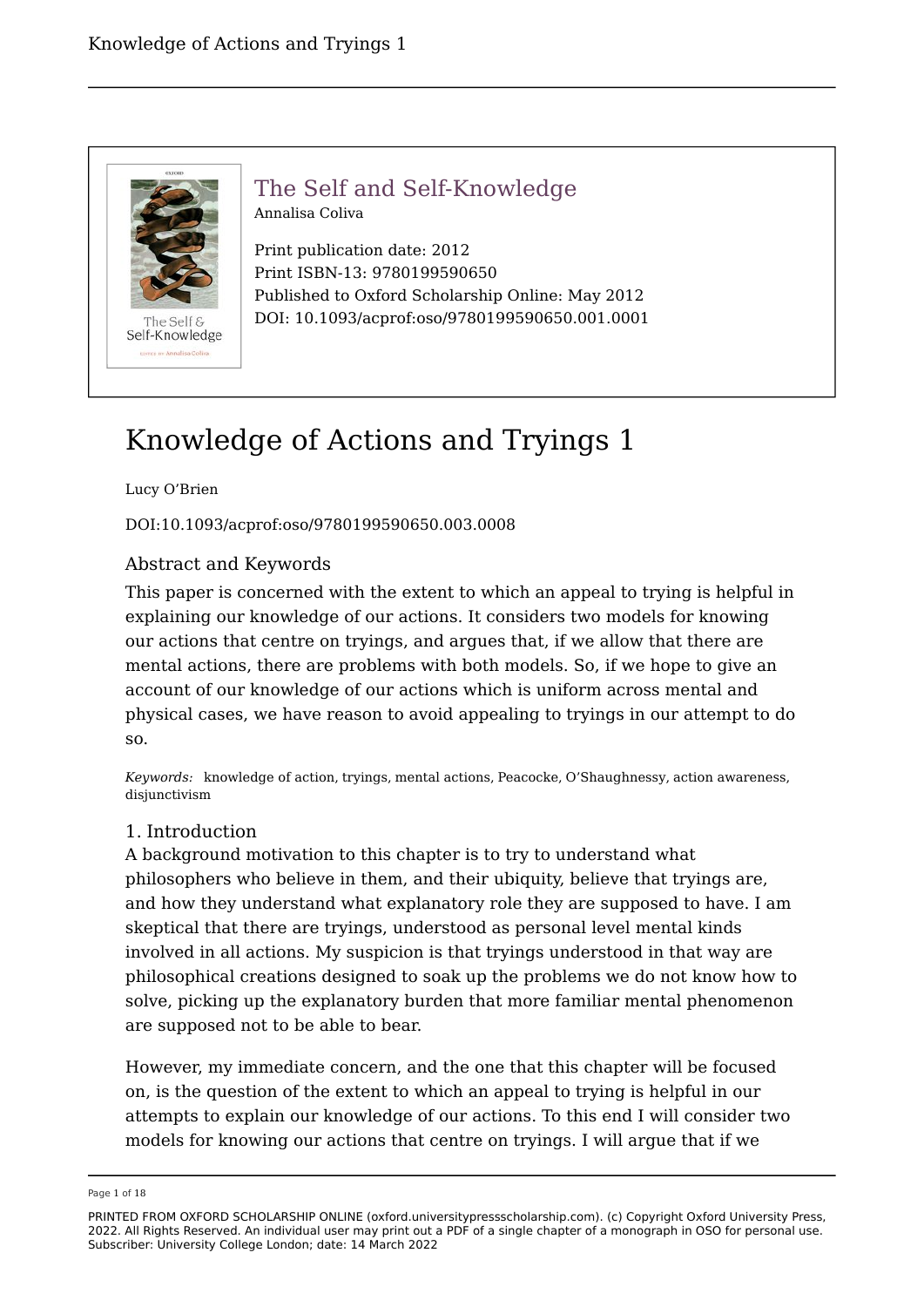

[The Self and Self-Knowledge](https://oxford.universitypressscholarship.com/view/10.1093/acprof:oso/9780199590650.001.0001/acprof-9780199590650) Annalisa Coliva

Print publication date: 2012 Print ISBN-13: 9780199590650 Published to Oxford Scholarship Online: May 2012 DOI: 10.1093/acprof:oso/9780199590650.001.0001

# Knowledge of Actions and Tryings 1

Lucy O'Brien

DOI:10.1093/acprof:oso/9780199590650.003.0008

## Abstract and Keywords

This paper is concerned with the extent to which an appeal to trying is helpful in explaining our knowledge of our actions. It considers two models for knowing our actions that centre on tryings, and argues that, if we allow that there are mental actions, there are problems with both models. So, if we hope to give an account of our knowledge of our actions which is uniform across mental and physical cases, we have reason to avoid appealing to tryings in our attempt to do so.

*Keywords:* [knowledge of action,](https://www.universitypressscholarship.com/search?f_0=keywords&q_0=knowledge of action) [tryings,](https://www.universitypressscholarship.com/search?f_0=keywords&q_0=tryings) [mental actions](https://www.universitypressscholarship.com/search?f_0=keywords&q_0=mental actions), [Peacocke,](https://www.universitypressscholarship.com/search?f_0=keywords&q_0=Peacocke) [O'Shaughnessy](https://www.universitypressscholarship.com/search?f_0=keywords&q_0=O%E2%80%99Shaughnessy), [action awareness,](https://www.universitypressscholarship.com/search?f_0=keywords&q_0=action awareness) [disjunctivism](https://www.universitypressscholarship.com/search?f_0=keywords&q_0=disjunctivism)

## 1. Introduction

A background motivation to this chapter is to try to understand what philosophers who believe in them, and their ubiquity, believe that tryings are, and how they understand what explanatory role they are supposed to have. I am skeptical that there are tryings, understood as personal level mental kinds involved in all actions. My suspicion is that tryings understood in that way are philosophical creations designed to soak up the problems we do not know how to solve, picking up the explanatory burden that more familiar mental phenomenon are supposed not to be able to bear.

However, my immediate concern, and the one that this chapter will be focused on, is the question of the extent to which an appeal to trying is helpful in our attempts to explain our knowledge of our actions. To this end I will consider two models for knowing our actions that centre on tryings. I will argue that if we

Page 1 of 18

PRINTED FROM OXFORD SCHOLARSHIP ONLINE (oxford.universitypressscholarship.com). (c) Copyright Oxford University Press, 2022. All Rights Reserved. An individual user may print out a PDF of a single chapter of a monograph in OSO for personal use. Subscriber: University College London; date: 14 March 2022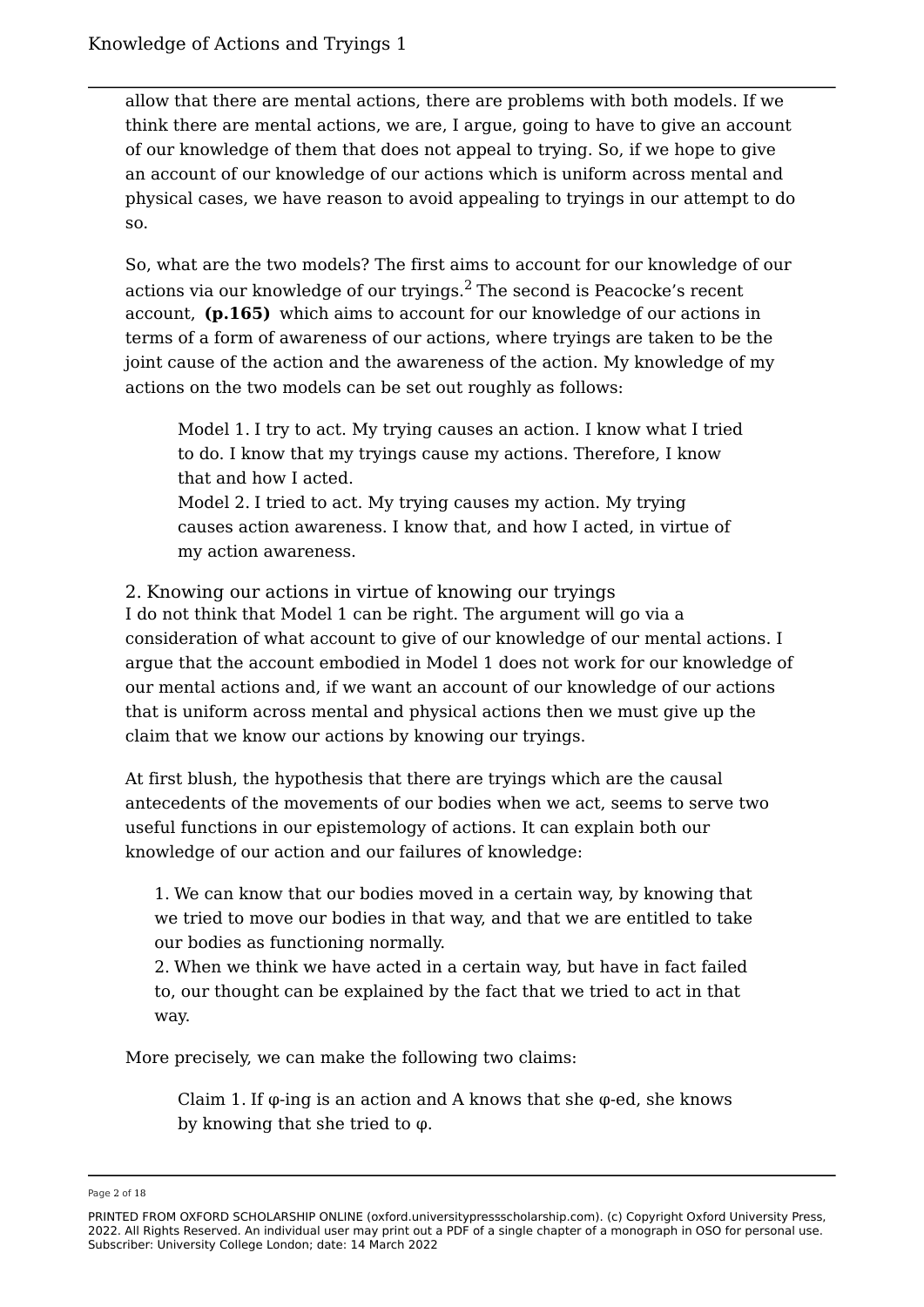allow that there are mental actions, there are problems with both models. If we think there are mental actions, we are, I argue, going to have to give an account of our knowledge of them that does not appeal to trying. So, if we hope to give an account of our knowledge of our actions which is uniform across mental and physical cases, we have reason to avoid appealing to tryings in our attempt to do so.

So, what are the two models? The first aims to account for our knowledge of our actions via our knowledge of our tryings. $<sup>2</sup>$  $<sup>2</sup>$  $<sup>2</sup>$  The second is Peacocke's recent</sup> account, **(p.165)** which aims to account for our knowledge of our actions in terms of a form of awareness of our actions, where tryings are taken to be the joint cause of the action and the awareness of the action. My knowledge of my actions on the two models can be set out roughly as follows:

<span id="page-1-0"></span>Model 1. I try to act. My trying causes an action. I know what I tried to do. I know that my tryings cause my actions. Therefore, I know that and how I acted.

Model 2. I tried to act. My trying causes my action. My trying causes action awareness. I know that, and how I acted, in virtue of my action awareness.

2. Knowing our actions in virtue of knowing our tryings

I do not think that Model 1 can be right. The argument will go via a consideration of what account to give of our knowledge of our mental actions. I argue that the account embodied in Model 1 does not work for our knowledge of our mental actions and, if we want an account of our knowledge of our actions that is uniform across mental and physical actions then we must give up the claim that we know our actions by knowing our tryings.

At first blush, the hypothesis that there are tryings which are the causal antecedents of the movements of our bodies when we act, seems to serve two useful functions in our epistemology of actions. It can explain both our knowledge of our action and our failures of knowledge:

1. We can know that our bodies moved in a certain way, by knowing that we tried to move our bodies in that way, and that we are entitled to take our bodies as functioning normally.

2. When we think we have acted in a certain way, but have in fact failed to, our thought can be explained by the fact that we tried to act in that way.

More precisely, we can make the following two claims:

Claim 1. If  $\varphi$ -ing is an action and A knows that she  $\varphi$ -ed, she knows by knowing that she tried to φ.

Page 2 of 18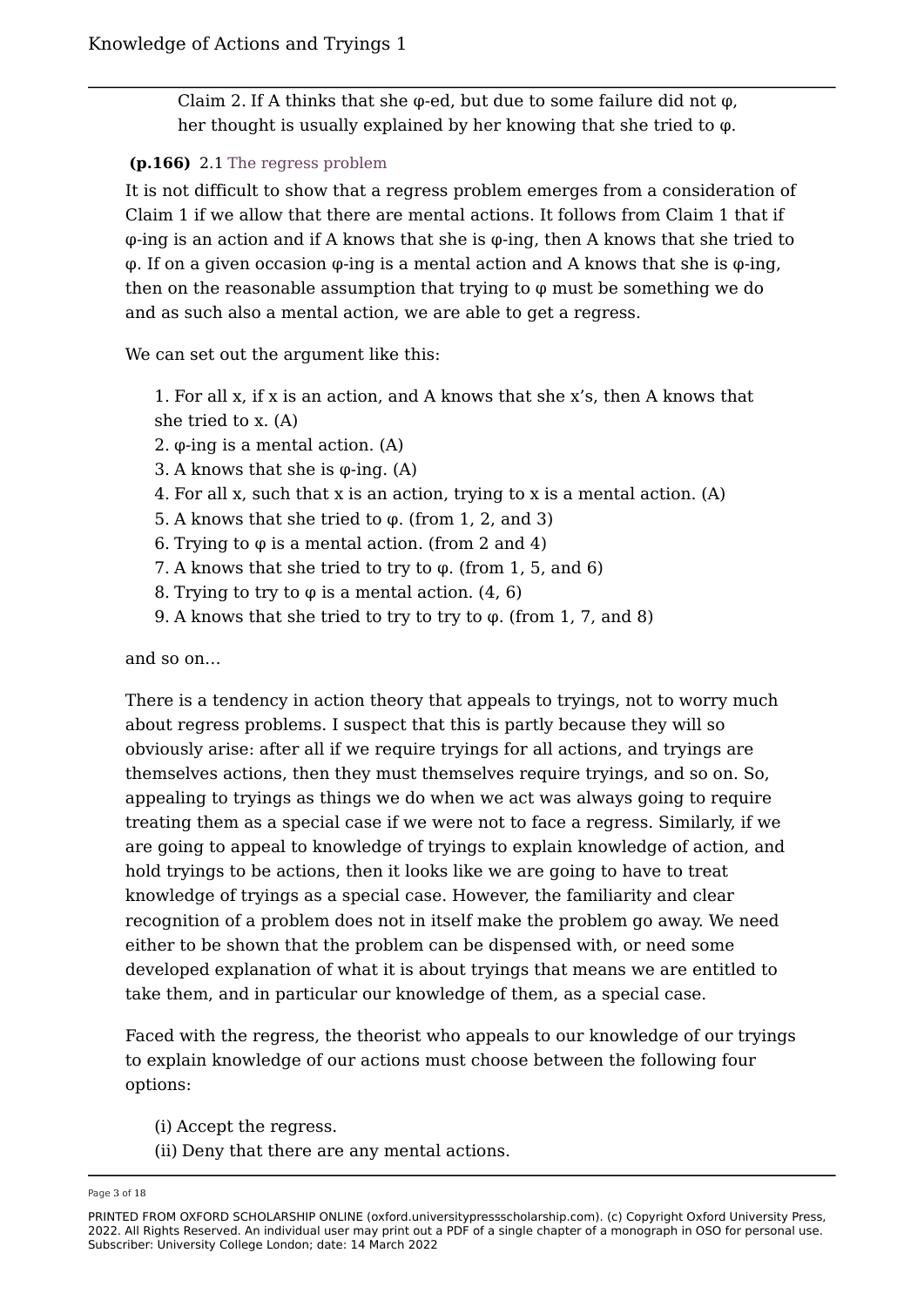Claim 2. If A thinks that she φ-ed, but due to some failure did not φ, her thought is usually explained by her knowing that she tried to φ.

# **(p.166)** 2.1 The regress problem

It is not difficult to show that a regress problem emerges from a consideration of Claim 1 if we allow that there are mental actions. It follows from Claim 1 that if  $\varphi$ -ing is an action and if A knows that she is  $\varphi$ -ing, then A knows that she tried to φ. If on a given occasion φ-ing is a mental action and A knows that she is φ-ing, then on the reasonable assumption that trying to  $\varphi$  must be something we do and as such also a mental action, we are able to get a regress.

We can set out the argument like this:

- 1. For all x, if x is an action, and A knows that she x's, then A knows that she tried to x. (A)
- 2. φ-ing is a mental action. (A)
- 3. A knows that she is  $\varphi$ -ing. (A)
- 4. For all x, such that x is an action, trying to x is a mental action. (A)
- 5. A knows that she tried to  $φ$ . (from 1, 2, and 3)
- 6. Trying to φ is a mental action. (from 2 and 4)
- 7. A knows that she tried to try to  $\varphi$ . (from 1, 5, and 6)
- 8. Trying to try to  $\varphi$  is a mental action. (4, 6)
- 9. A knows that she tried to try to try to  $\varphi$ . (from 1, 7, and 8)

and so on…

There is a tendency in action theory that appeals to tryings, not to worry much about regress problems. I suspect that this is partly because they will so obviously arise: after all if we require tryings for all actions, and tryings are themselves actions, then they must themselves require tryings, and so on. So, appealing to tryings as things we do when we act was always going to require treating them as a special case if we were not to face a regress. Similarly, if we are going to appeal to knowledge of tryings to explain knowledge of action, and hold tryings to be actions, then it looks like we are going to have to treat knowledge of tryings as a special case. However, the familiarity and clear recognition of a problem does not in itself make the problem go away. We need either to be shown that the problem can be dispensed with, or need some developed explanation of what it is about tryings that means we are entitled to take them, and in particular our knowledge of them, as a special case.

Faced with the regress, the theorist who appeals to our knowledge of our tryings to explain knowledge of our actions must choose between the following four options:

- (i) Accept the regress.
- (ii) Deny that there are any mental actions.

Page 3 of 18

PRINTED FROM OXFORD SCHOLARSHIP ONLINE (oxford.universitypressscholarship.com). (c) Copyright Oxford University Press, 2022. All Rights Reserved. An individual user may print out a PDF of a single chapter of a monograph in OSO for personal use. Subscriber: University College London; date: 14 March 2022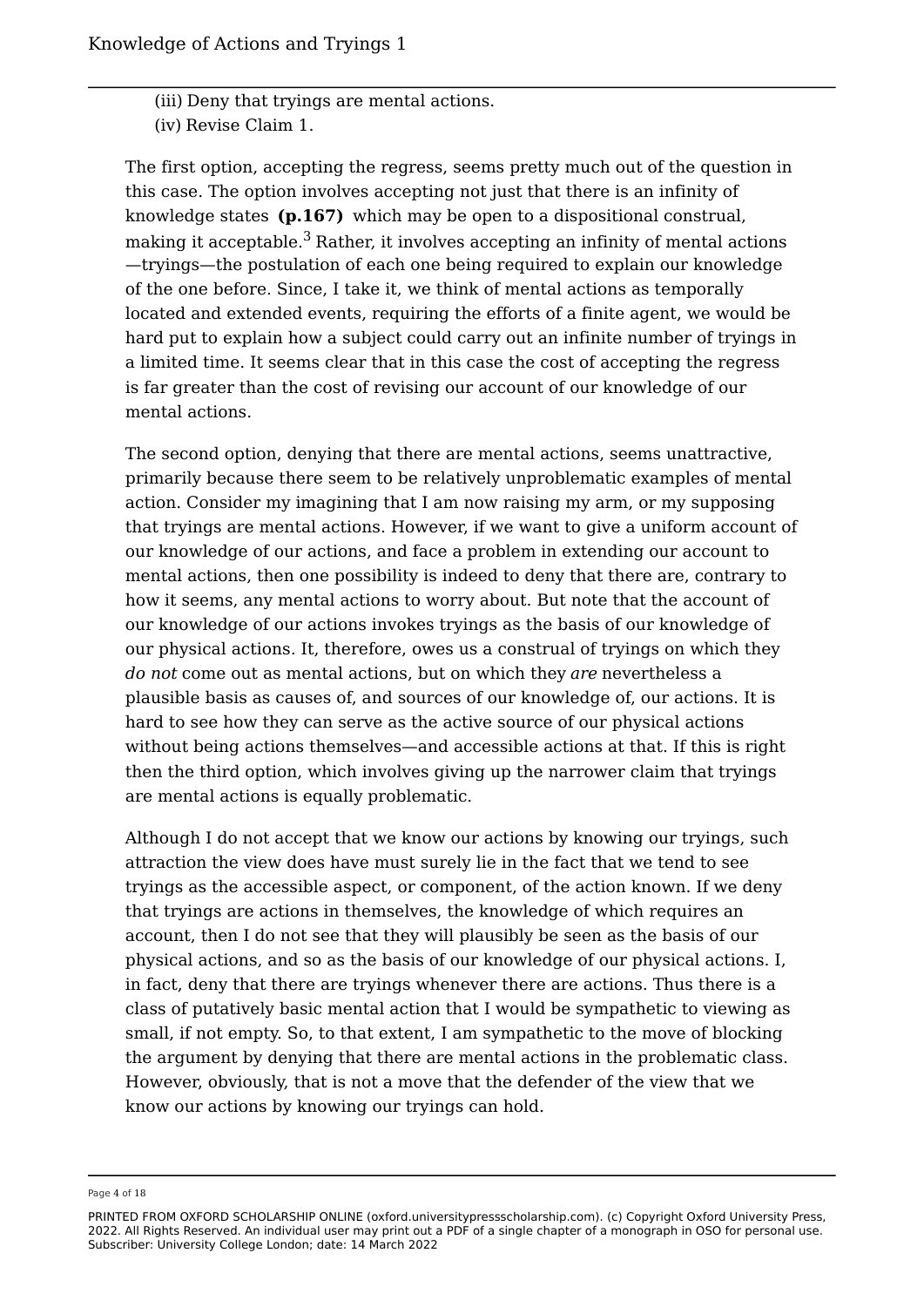(iii) Deny that tryings are mental actions. (iv) Revise Claim 1.

<span id="page-3-0"></span>The first option, accepting the regress, seems pretty much out of the question in this case. The option involves accepting not just that there is an infinity of knowledge states **(p.167)** which may be open to a dispositional construal, making it acceptable.<sup>[3](#page-17-0)</sup> Rather, it involves accepting an infinity of mental actions —tryings—the postulation of each one being required to explain our knowledge of the one before. Since, I take it, we think of mental actions as temporally located and extended events, requiring the efforts of a finite agent, we would be hard put to explain how a subject could carry out an infinite number of tryings in a limited time. It seems clear that in this case the cost of accepting the regress is far greater than the cost of revising our account of our knowledge of our mental actions.

The second option, denying that there are mental actions, seems unattractive, primarily because there seem to be relatively unproblematic examples of mental action. Consider my imagining that I am now raising my arm, or my supposing that tryings are mental actions. However, if we want to give a uniform account of our knowledge of our actions, and face a problem in extending our account to mental actions, then one possibility is indeed to deny that there are, contrary to how it seems, any mental actions to worry about. But note that the account of our knowledge of our actions invokes tryings as the basis of our knowledge of our physical actions. It, therefore, owes us a construal of tryings on which they *do not* come out as mental actions, but on which they *are* nevertheless a plausible basis as causes of, and sources of our knowledge of, our actions. It is hard to see how they can serve as the active source of our physical actions without being actions themselves—and accessible actions at that. If this is right then the third option, which involves giving up the narrower claim that tryings are mental actions is equally problematic.

Although I do not accept that we know our actions by knowing our tryings, such attraction the view does have must surely lie in the fact that we tend to see tryings as the accessible aspect, or component, of the action known. If we deny that tryings are actions in themselves, the knowledge of which requires an account, then I do not see that they will plausibly be seen as the basis of our physical actions, and so as the basis of our knowledge of our physical actions. I, in fact, deny that there are tryings whenever there are actions. Thus there is a class of putatively basic mental action that I would be sympathetic to viewing as small, if not empty. So, to that extent, I am sympathetic to the move of blocking the argument by denying that there are mental actions in the problematic class. However, obviously, that is not a move that the defender of the view that we know our actions by knowing our tryings can hold.

Page 4 of 18

PRINTED FROM OXFORD SCHOLARSHIP ONLINE (oxford.universitypressscholarship.com). (c) Copyright Oxford University Press, 2022. All Rights Reserved. An individual user may print out a PDF of a single chapter of a monograph in OSO for personal use. Subscriber: University College London; date: 14 March 2022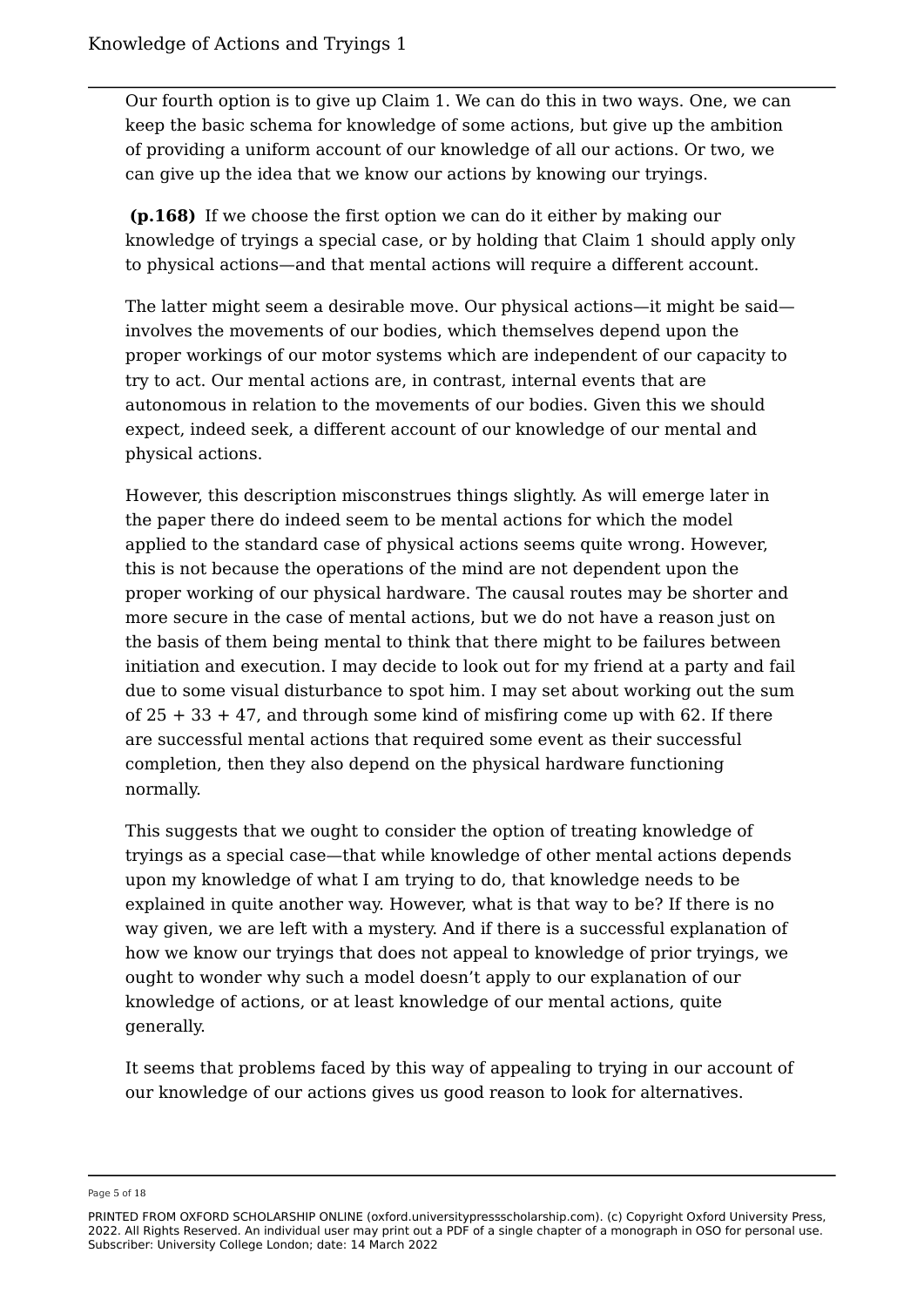Our fourth option is to give up Claim 1. We can do this in two ways. One, we can keep the basic schema for knowledge of some actions, but give up the ambition of providing a uniform account of our knowledge of all our actions. Or two, we can give up the idea that we know our actions by knowing our tryings.

 **(p.168)** If we choose the first option we can do it either by making our knowledge of tryings a special case, or by holding that Claim 1 should apply only to physical actions—and that mental actions will require a different account.

The latter might seem a desirable move. Our physical actions—it might be said involves the movements of our bodies, which themselves depend upon the proper workings of our motor systems which are independent of our capacity to try to act. Our mental actions are, in contrast, internal events that are autonomous in relation to the movements of our bodies. Given this we should expect, indeed seek, a different account of our knowledge of our mental and physical actions.

However, this description misconstrues things slightly. As will emerge later in the paper there do indeed seem to be mental actions for which the model applied to the standard case of physical actions seems quite wrong. However, this is not because the operations of the mind are not dependent upon the proper working of our physical hardware. The causal routes may be shorter and more secure in the case of mental actions, but we do not have a reason just on the basis of them being mental to think that there might to be failures between initiation and execution. I may decide to look out for my friend at a party and fail due to some visual disturbance to spot him. I may set about working out the sum of  $25 + 33 + 47$ , and through some kind of misfiring come up with 62. If there are successful mental actions that required some event as their successful completion, then they also depend on the physical hardware functioning normally.

This suggests that we ought to consider the option of treating knowledge of tryings as a special case—that while knowledge of other mental actions depends upon my knowledge of what I am trying to do, that knowledge needs to be explained in quite another way. However, what is that way to be? If there is no way given, we are left with a mystery. And if there is a successful explanation of how we know our tryings that does not appeal to knowledge of prior tryings, we ought to wonder why such a model doesn't apply to our explanation of our knowledge of actions, or at least knowledge of our mental actions, quite generally.

It seems that problems faced by this way of appealing to trying in our account of our knowledge of our actions gives us good reason to look for alternatives.

Page 5 of 18

PRINTED FROM OXFORD SCHOLARSHIP ONLINE (oxford.universitypressscholarship.com). (c) Copyright Oxford University Press, 2022. All Rights Reserved. An individual user may print out a PDF of a single chapter of a monograph in OSO for personal use. Subscriber: University College London; date: 14 March 2022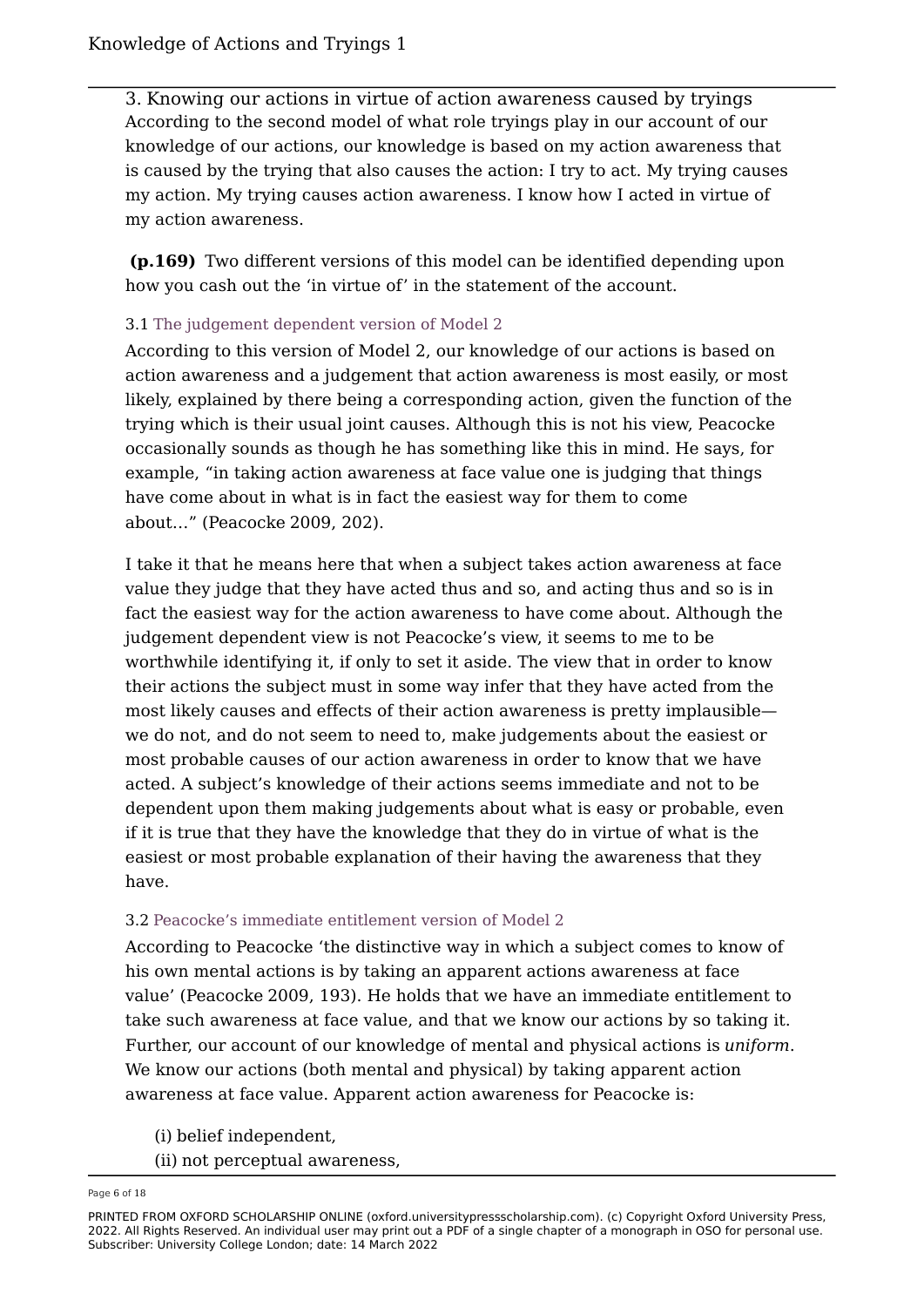3. Knowing our actions in virtue of action awareness caused by tryings According to the second model of what role tryings play in our account of our knowledge of our actions, our knowledge is based on my action awareness that is caused by the trying that also causes the action: I try to act. My trying causes my action. My trying causes action awareness. I know how I acted in virtue of my action awareness.

 **(p.169)** Two different versions of this model can be identified depending upon how you cash out the 'in virtue of' in the statement of the account.

# 3.1 The judgement dependent version of Model 2

According to this version of Model 2, our knowledge of our actions is based on action awareness and a judgement that action awareness is most easily, or most likely, explained by there being a corresponding action, given the function of the trying which is their usual joint causes. Although this is not his view, Peacocke occasionally sounds as though he has something like this in mind. He says, for example, "in taking action awareness at face value one is judging that things have come about in what is in fact the easiest way for them to come about…" (Peacocke [2009,](https://oxford.universitypressscholarship.com/view/10.1093/acprof:oso/9780199590650.001.0001/acprof-9780199590650-chapter-8#acprof-9780199590650-bibItem-189) 202).

I take it that he means here that when a subject takes action awareness at face value they judge that they have acted thus and so, and acting thus and so is in fact the easiest way for the action awareness to have come about. Although the judgement dependent view is not Peacocke's view, it seems to me to be worthwhile identifying it, if only to set it aside. The view that in order to know their actions the subject must in some way infer that they have acted from the most likely causes and effects of their action awareness is pretty implausible we do not, and do not seem to need to, make judgements about the easiest or most probable causes of our action awareness in order to know that we have acted. A subject's knowledge of their actions seems immediate and not to be dependent upon them making judgements about what is easy or probable, even if it is true that they have the knowledge that they do in virtue of what is the easiest or most probable explanation of their having the awareness that they have.

## 3.2 Peacocke's immediate entitlement version of Model 2

According to Peacocke 'the distinctive way in which a subject comes to know of his own mental actions is by taking an apparent actions awareness at face value' (Peacocke [2009](https://oxford.universitypressscholarship.com/view/10.1093/acprof:oso/9780199590650.001.0001/acprof-9780199590650-chapter-8#acprof-9780199590650-bibItem-189), 193). He holds that we have an immediate entitlement to take such awareness at face value, and that we know our actions by so taking it. Further, our account of our knowledge of mental and physical actions is *uniform*. We know our actions (both mental and physical) by taking apparent action awareness at face value. Apparent action awareness for Peacocke is:

- (i) belief independent,
- (ii) not perceptual awareness,

Page 6 of 18

PRINTED FROM OXFORD SCHOLARSHIP ONLINE (oxford.universitypressscholarship.com). (c) Copyright Oxford University Press, 2022. All Rights Reserved. An individual user may print out a PDF of a single chapter of a monograph in OSO for personal use. Subscriber: University College London; date: 14 March 2022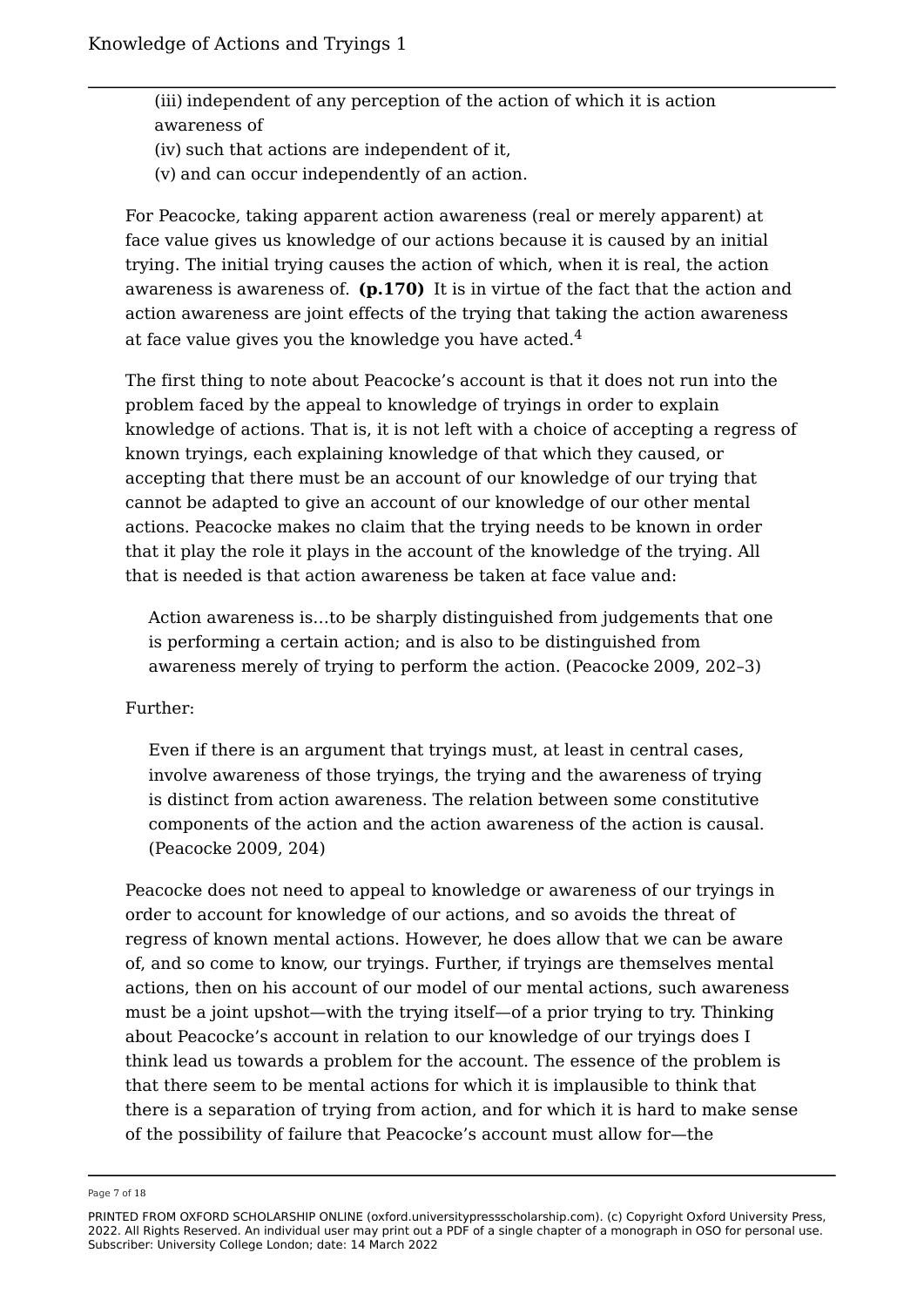(iii) independent of any perception of the action of which it is action awareness of

(iv) such that actions are independent of it,

<span id="page-6-0"></span>(v) and can occur independently of an action.

For Peacocke, taking apparent action awareness (real or merely apparent) at face value gives us knowledge of our actions because it is caused by an initial trying. The initial trying causes the action of which, when it is real, the action awareness is awareness of. **(p.170)** It is in virtue of the fact that the action and action awareness are joint effects of the trying that taking the action awareness at face value gives you the knowledge you have acted. $4$ 

The first thing to note about Peacocke's account is that it does not run into the problem faced by the appeal to knowledge of tryings in order to explain knowledge of actions. That is, it is not left with a choice of accepting a regress of known tryings, each explaining knowledge of that which they caused, or accepting that there must be an account of our knowledge of our trying that cannot be adapted to give an account of our knowledge of our other mental actions. Peacocke makes no claim that the trying needs to be known in order that it play the role it plays in the account of the knowledge of the trying. All that is needed is that action awareness be taken at face value and:

Action awareness is…to be sharply distinguished from judgements that one is performing a certain action; and is also to be distinguished from awareness merely of trying to perform the action. (Peacocke [2009](https://oxford.universitypressscholarship.com/view/10.1093/acprof:oso/9780199590650.001.0001/acprof-9780199590650-chapter-8#acprof-9780199590650-bibItem-189), 202–3)

## Further:

Even if there is an argument that tryings must, at least in central cases, involve awareness of those tryings, the trying and the awareness of trying is distinct from action awareness. The relation between some constitutive components of the action and the action awareness of the action is causal. (Peacocke [2009](https://oxford.universitypressscholarship.com/view/10.1093/acprof:oso/9780199590650.001.0001/acprof-9780199590650-chapter-8#acprof-9780199590650-bibItem-189), 204)

Peacocke does not need to appeal to knowledge or awareness of our tryings in order to account for knowledge of our actions, and so avoids the threat of regress of known mental actions. However, he does allow that we can be aware of, and so come to know, our tryings. Further, if tryings are themselves mental actions, then on his account of our model of our mental actions, such awareness must be a joint upshot—with the trying itself—of a prior trying to try. Thinking about Peacocke's account in relation to our knowledge of our tryings does I think lead us towards a problem for the account. The essence of the problem is that there seem to be mental actions for which it is implausible to think that there is a separation of trying from action, and for which it is hard to make sense of the possibility of failure that Peacocke's account must allow for—the

Page 7 of 18

PRINTED FROM OXFORD SCHOLARSHIP ONLINE (oxford.universitypressscholarship.com). (c) Copyright Oxford University Press, 2022. All Rights Reserved. An individual user may print out a PDF of a single chapter of a monograph in OSO for personal use. Subscriber: University College London; date: 14 March 2022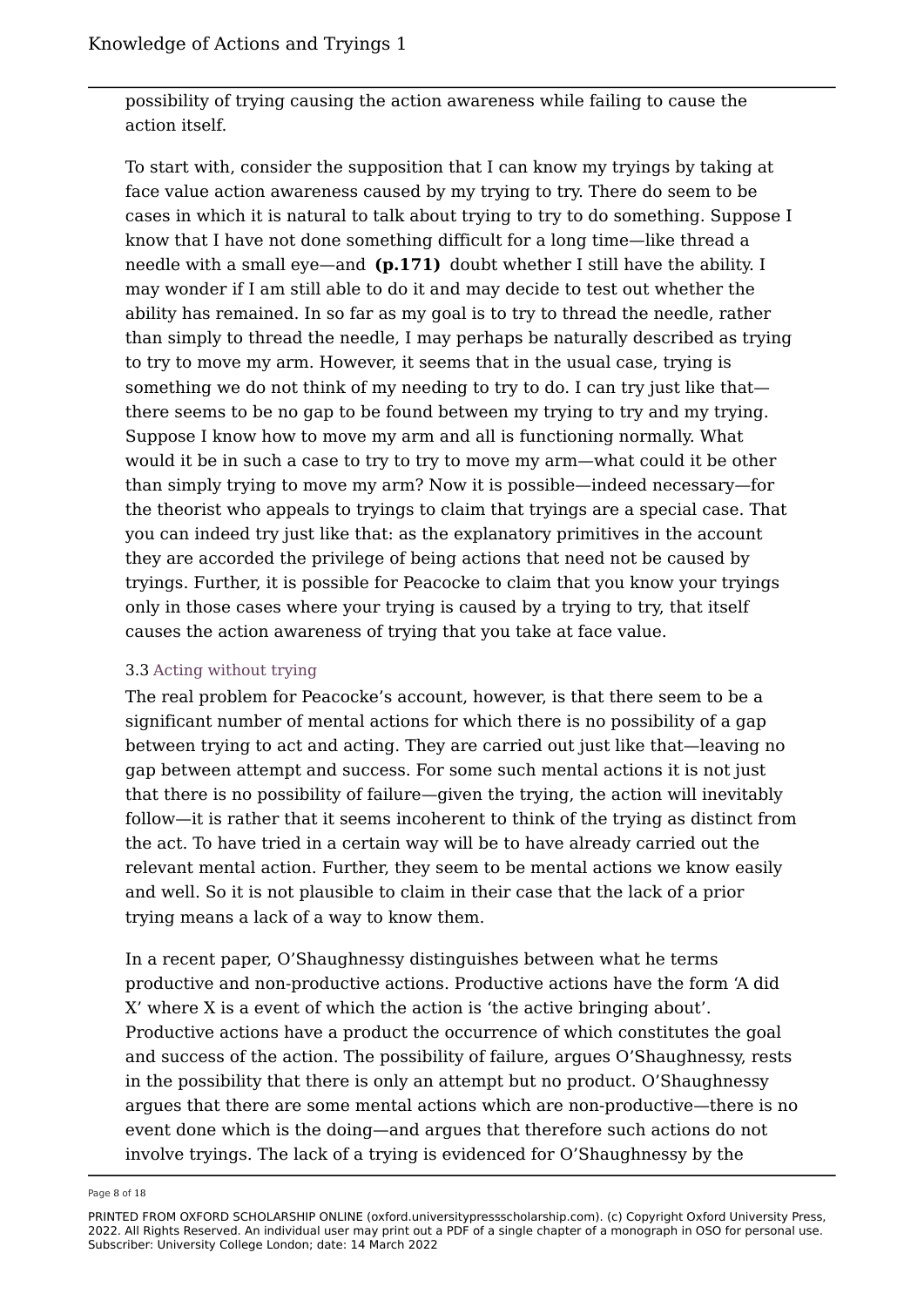possibility of trying causing the action awareness while failing to cause the action itself.

To start with, consider the supposition that I can know my tryings by taking at face value action awareness caused by my trying to try. There do seem to be cases in which it is natural to talk about trying to try to do something. Suppose I know that I have not done something difficult for a long time—like thread a needle with a small eye—and **(p.171)** doubt whether I still have the ability. I may wonder if I am still able to do it and may decide to test out whether the ability has remained. In so far as my goal is to try to thread the needle, rather than simply to thread the needle, I may perhaps be naturally described as trying to try to move my arm. However, it seems that in the usual case, trying is something we do not think of my needing to try to do. I can try just like that there seems to be no gap to be found between my trying to try and my trying. Suppose I know how to move my arm and all is functioning normally. What would it be in such a case to try to try to move my arm—what could it be other than simply trying to move my arm? Now it is possible—indeed necessary—for the theorist who appeals to tryings to claim that tryings are a special case. That you can indeed try just like that: as the explanatory primitives in the account they are accorded the privilege of being actions that need not be caused by tryings. Further, it is possible for Peacocke to claim that you know your tryings only in those cases where your trying is caused by a trying to try, that itself causes the action awareness of trying that you take at face value.

#### 3.3 Acting without trying

The real problem for Peacocke's account, however, is that there seem to be a significant number of mental actions for which there is no possibility of a gap between trying to act and acting. They are carried out just like that—leaving no gap between attempt and success. For some such mental actions it is not just that there is no possibility of failure—given the trying, the action will inevitably follow—it is rather that it seems incoherent to think of the trying as distinct from the act. To have tried in a certain way will be to have already carried out the relevant mental action. Further, they seem to be mental actions we know easily and well. So it is not plausible to claim in their case that the lack of a prior trying means a lack of a way to know them.

In a recent paper, O'Shaughnessy distinguishes between what he terms productive and non-productive actions. Productive actions have the form 'A did X' where X is a event of which the action is 'the active bringing about'. Productive actions have a product the occurrence of which constitutes the goal and success of the action. The possibility of failure, argues O'Shaughnessy, rests in the possibility that there is only an attempt but no product. O'Shaughnessy argues that there are some mental actions which are non-productive—there is no event done which is the doing—and argues that therefore such actions do not involve tryings. The lack of a trying is evidenced for O'Shaughnessy by the

Page 8 of 18

PRINTED FROM OXFORD SCHOLARSHIP ONLINE (oxford.universitypressscholarship.com). (c) Copyright Oxford University Press, 2022. All Rights Reserved. An individual user may print out a PDF of a single chapter of a monograph in OSO for personal use. Subscriber: University College London; date: 14 March 2022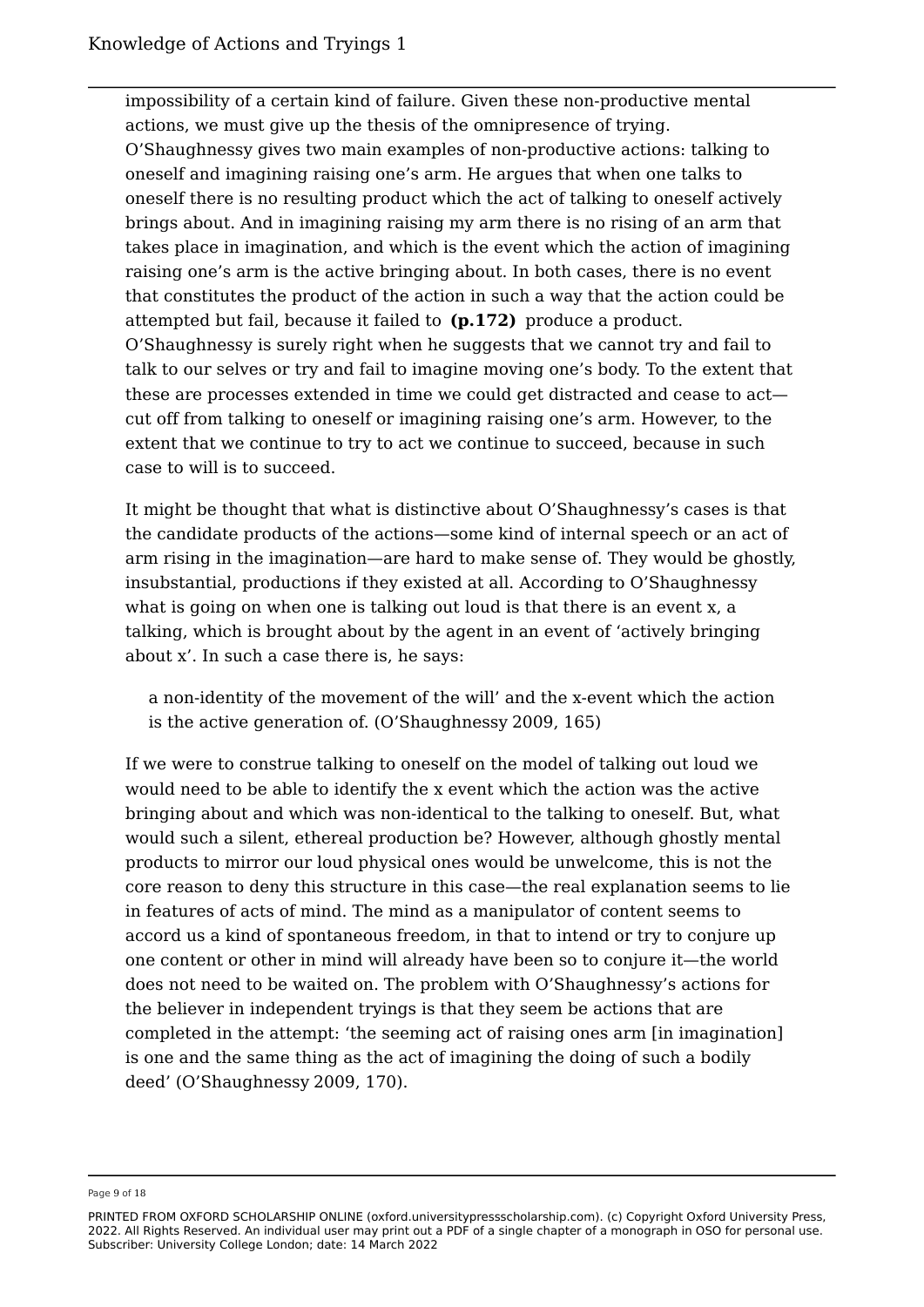impossibility of a certain kind of failure. Given these non-productive mental actions, we must give up the thesis of the omnipresence of trying. O'Shaughnessy gives two main examples of non-productive actions: talking to oneself and imagining raising one's arm. He argues that when one talks to oneself there is no resulting product which the act of talking to oneself actively brings about. And in imagining raising my arm there is no rising of an arm that takes place in imagination, and which is the event which the action of imagining raising one's arm is the active bringing about. In both cases, there is no event that constitutes the product of the action in such a way that the action could be attempted but fail, because it failed to **(p.172)** produce a product. O'Shaughnessy is surely right when he suggests that we cannot try and fail to talk to our selves or try and fail to imagine moving one's body. To the extent that these are processes extended in time we could get distracted and cease to act cut off from talking to oneself or imagining raising one's arm. However, to the extent that we continue to try to act we continue to succeed, because in such case to will is to succeed.

It might be thought that what is distinctive about O'Shaughnessy's cases is that the candidate products of the actions—some kind of internal speech or an act of arm rising in the imagination—are hard to make sense of. They would be ghostly, insubstantial, productions if they existed at all. According to O'Shaughnessy what is going on when one is talking out loud is that there is an event x, a talking, which is brought about by the agent in an event of 'actively bringing about x'. In such a case there is, he says:

a non-identity of the movement of the will' and the x-event which the action is the active generation of. (O'Shaughnessy [2009,](https://oxford.universitypressscholarship.com/view/10.1093/acprof:oso/9780199590650.001.0001/acprof-9780199590650-chapter-8#acprof-9780199590650-bibItem-187) 165)

If we were to construe talking to oneself on the model of talking out loud we would need to be able to identify the x event which the action was the active bringing about and which was non-identical to the talking to oneself. But, what would such a silent, ethereal production be? However, although ghostly mental products to mirror our loud physical ones would be unwelcome, this is not the core reason to deny this structure in this case—the real explanation seems to lie in features of acts of mind. The mind as a manipulator of content seems to accord us a kind of spontaneous freedom, in that to intend or try to conjure up one content or other in mind will already have been so to conjure it—the world does not need to be waited on. The problem with O'Shaughnessy's actions for the believer in independent tryings is that they seem be actions that are completed in the attempt: 'the seeming act of raising ones arm [in imagination] is one and the same thing as the act of imagining the doing of such a bodily deed' (O'Shaughnessy [2009,](https://oxford.universitypressscholarship.com/view/10.1093/acprof:oso/9780199590650.001.0001/acprof-9780199590650-chapter-8#acprof-9780199590650-bibItem-187) 170).

Page 9 of 18

PRINTED FROM OXFORD SCHOLARSHIP ONLINE (oxford.universitypressscholarship.com). (c) Copyright Oxford University Press, 2022. All Rights Reserved. An individual user may print out a PDF of a single chapter of a monograph in OSO for personal use. Subscriber: University College London; date: 14 March 2022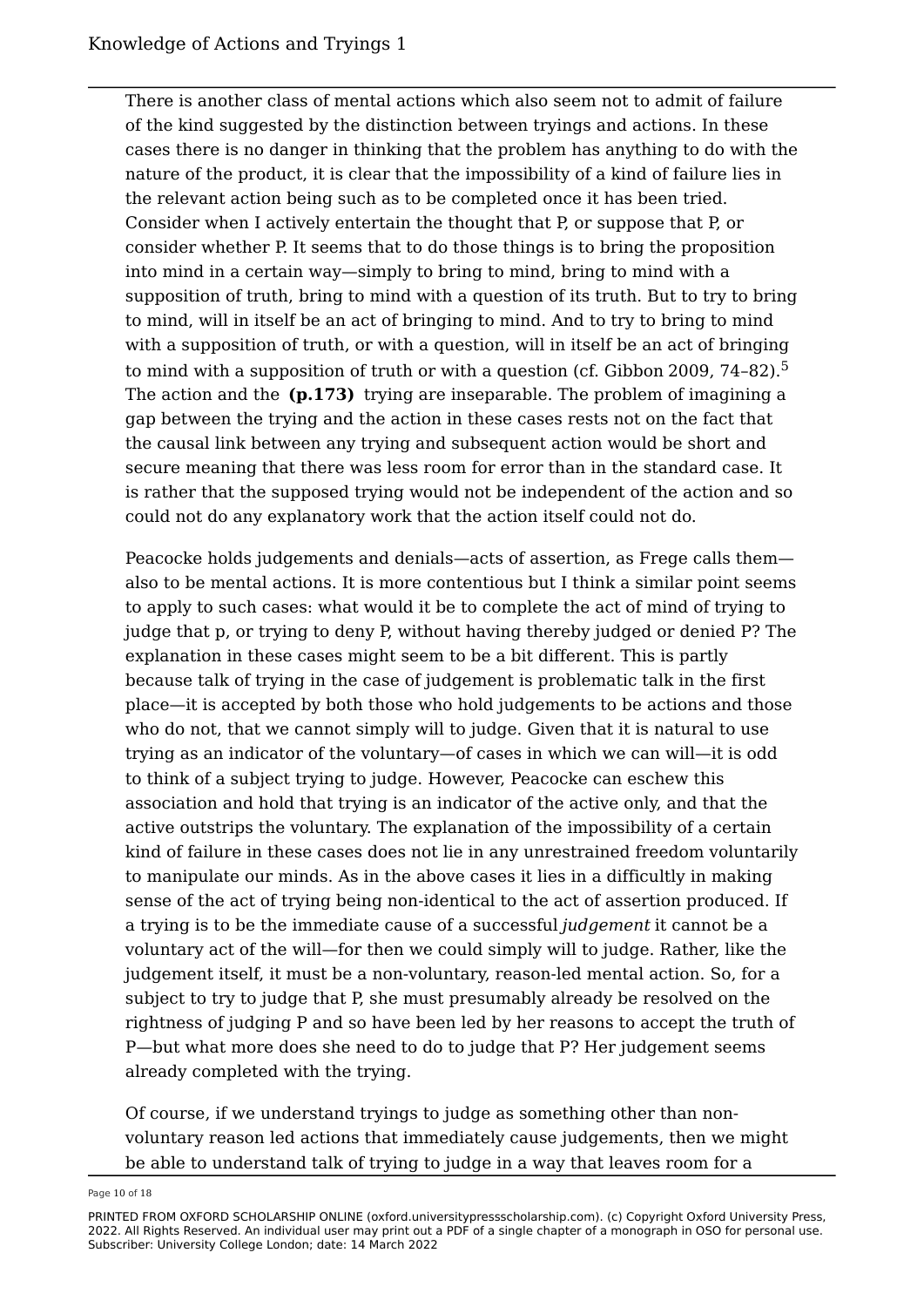There is another class of mental actions which also seem not to admit of failure of the kind suggested by the distinction between tryings and actions. In these cases there is no danger in thinking that the problem has anything to do with the nature of the product, it is clear that the impossibility of a kind of failure lies in the relevant action being such as to be completed once it has been tried. Consider when I actively entertain the thought that P, or suppose that P, or consider whether P. It seems that to do those things is to bring the proposition into mind in a certain way—simply to bring to mind, bring to mind with a supposition of truth, bring to mind with a question of its truth. But to try to bring to mind, will in itself be an act of bringing to mind. And to try to bring to mind with a supposition of truth, or with a question, will in itself be an act of bringing to mind with a supposition of truth or with a question (cf. Gibbon [2009](https://oxford.universitypressscholarship.com/view/10.1093/acprof:oso/9780199590650.001.0001/acprof-9780199590650-chapter-8#acprof-9780199590650-bibItem-183),  $74-82$ ).<sup>[5](#page-17-2)</sup> The action and the **(p.173)** trying are inseparable. The problem of imagining a gap between the trying and the action in these cases rests not on the fact that the causal link between any trying and subsequent action would be short and secure meaning that there was less room for error than in the standard case. It is rather that the supposed trying would not be independent of the action and so could not do any explanatory work that the action itself could not do.

<span id="page-9-0"></span>Peacocke holds judgements and denials—acts of assertion, as Frege calls them also to be mental actions. It is more contentious but I think a similar point seems to apply to such cases: what would it be to complete the act of mind of trying to judge that p, or trying to deny P, without having thereby judged or denied P? The explanation in these cases might seem to be a bit different. This is partly because talk of trying in the case of judgement is problematic talk in the first place—it is accepted by both those who hold judgements to be actions and those who do not, that we cannot simply will to judge. Given that it is natural to use trying as an indicator of the voluntary—of cases in which we can will—it is odd to think of a subject trying to judge. However, Peacocke can eschew this association and hold that trying is an indicator of the active only, and that the active outstrips the voluntary. The explanation of the impossibility of a certain kind of failure in these cases does not lie in any unrestrained freedom voluntarily to manipulate our minds. As in the above cases it lies in a difficultly in making sense of the act of trying being non-identical to the act of assertion produced. If a trying is to be the immediate cause of a successful *judgement* it cannot be a voluntary act of the will—for then we could simply will to judge. Rather, like the judgement itself, it must be a non-voluntary, reason-led mental action. So, for a subject to try to judge that P, she must presumably already be resolved on the rightness of judging P and so have been led by her reasons to accept the truth of P—but what more does she need to do to judge that P? Her judgement seems already completed with the trying.

Of course, if we understand tryings to judge as something other than nonvoluntary reason led actions that immediately cause judgements, then we might be able to understand talk of trying to judge in a way that leaves room for a

Page 10 of 18

PRINTED FROM OXFORD SCHOLARSHIP ONLINE (oxford.universitypressscholarship.com). (c) Copyright Oxford University Press, 2022. All Rights Reserved. An individual user may print out a PDF of a single chapter of a monograph in OSO for personal use. Subscriber: University College London; date: 14 March 2022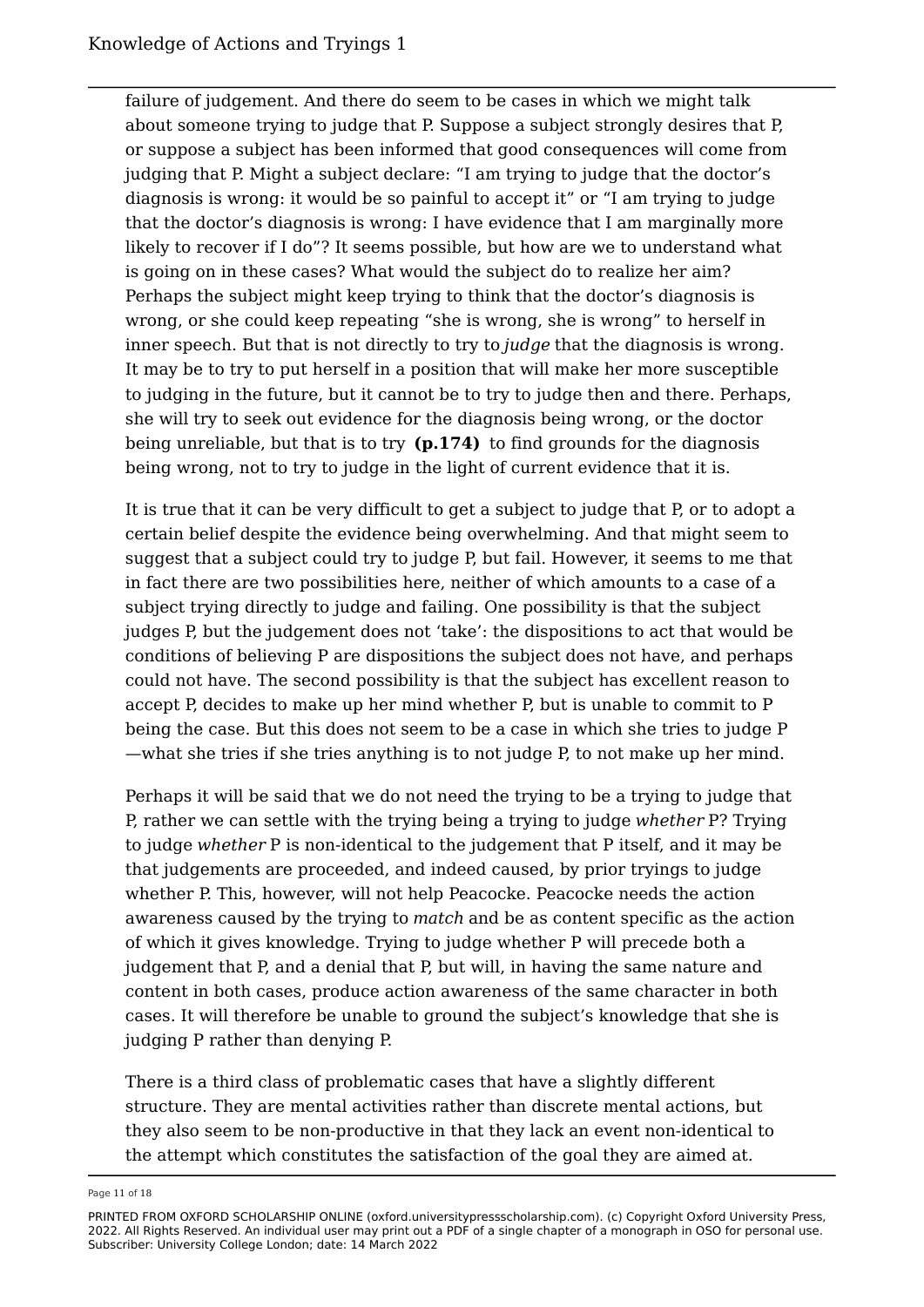failure of judgement. And there do seem to be cases in which we might talk about someone trying to judge that P. Suppose a subject strongly desires that P, or suppose a subject has been informed that good consequences will come from judging that P. Might a subject declare: "I am trying to judge that the doctor's diagnosis is wrong: it would be so painful to accept it" or "I am trying to judge that the doctor's diagnosis is wrong: I have evidence that I am marginally more likely to recover if I do"? It seems possible, but how are we to understand what is going on in these cases? What would the subject do to realize her aim? Perhaps the subject might keep trying to think that the doctor's diagnosis is wrong, or she could keep repeating "she is wrong, she is wrong" to herself in inner speech. But that is not directly to try to *judge* that the diagnosis is wrong. It may be to try to put herself in a position that will make her more susceptible to judging in the future, but it cannot be to try to judge then and there. Perhaps, she will try to seek out evidence for the diagnosis being wrong, or the doctor being unreliable, but that is to try **(p.174)** to find grounds for the diagnosis being wrong, not to try to judge in the light of current evidence that it is.

It is true that it can be very difficult to get a subject to judge that P, or to adopt a certain belief despite the evidence being overwhelming. And that might seem to suggest that a subject could try to judge P, but fail. However, it seems to me that in fact there are two possibilities here, neither of which amounts to a case of a subject trying directly to judge and failing. One possibility is that the subject judges P, but the judgement does not 'take': the dispositions to act that would be conditions of believing P are dispositions the subject does not have, and perhaps could not have. The second possibility is that the subject has excellent reason to accept P, decides to make up her mind whether P, but is unable to commit to P being the case. But this does not seem to be a case in which she tries to judge P —what she tries if she tries anything is to not judge P, to not make up her mind.

Perhaps it will be said that we do not need the trying to be a trying to judge that P, rather we can settle with the trying being a trying to judge *whether* P? Trying to judge *whether* P is non-identical to the judgement that P itself, and it may be that judgements are proceeded, and indeed caused, by prior tryings to judge whether P. This, however, will not help Peacocke. Peacocke needs the action awareness caused by the trying to *match* and be as content specific as the action of which it gives knowledge. Trying to judge whether P will precede both a judgement that P, and a denial that P, but will, in having the same nature and content in both cases, produce action awareness of the same character in both cases. It will therefore be unable to ground the subject's knowledge that she is judging P rather than denying P.

There is a third class of problematic cases that have a slightly different structure. They are mental activities rather than discrete mental actions, but they also seem to be non-productive in that they lack an event non-identical to the attempt which constitutes the satisfaction of the goal they are aimed at.

Page 11 of 18

PRINTED FROM OXFORD SCHOLARSHIP ONLINE (oxford.universitypressscholarship.com). (c) Copyright Oxford University Press, 2022. All Rights Reserved. An individual user may print out a PDF of a single chapter of a monograph in OSO for personal use. Subscriber: University College London; date: 14 March 2022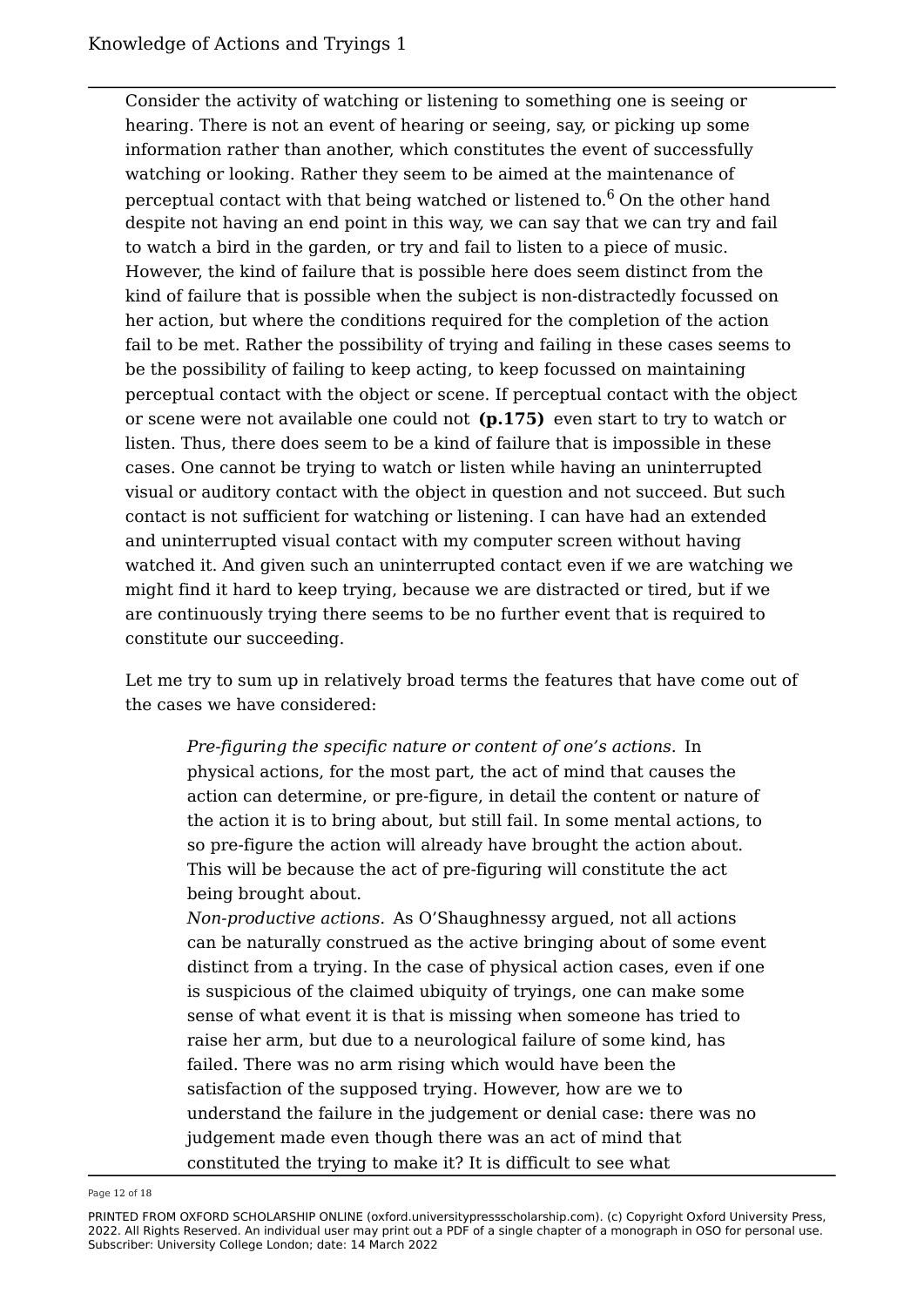<span id="page-11-0"></span>Consider the activity of watching or listening to something one is seeing or hearing. There is not an event of hearing or seeing, say, or picking up some information rather than another, which constitutes the event of successfully watching or looking. Rather they seem to be aimed at the maintenance of perceptual contact with that being watched or listened to  $6$  On the other hand despite not having an end point in this way, we can say that we can try and fail to watch a bird in the garden, or try and fail to listen to a piece of music. However, the kind of failure that is possible here does seem distinct from the kind of failure that is possible when the subject is non-distractedly focussed on her action, but where the conditions required for the completion of the action fail to be met. Rather the possibility of trying and failing in these cases seems to be the possibility of failing to keep acting, to keep focussed on maintaining perceptual contact with the object or scene. If perceptual contact with the object or scene were not available one could not **(p.175)** even start to try to watch or listen. Thus, there does seem to be a kind of failure that is impossible in these cases. One cannot be trying to watch or listen while having an uninterrupted visual or auditory contact with the object in question and not succeed. But such contact is not sufficient for watching or listening. I can have had an extended and uninterrupted visual contact with my computer screen without having watched it. And given such an uninterrupted contact even if we are watching we might find it hard to keep trying, because we are distracted or tired, but if we are continuously trying there seems to be no further event that is required to constitute our succeeding.

Let me try to sum up in relatively broad terms the features that have come out of the cases we have considered:

*Pre-figuring the specific nature or content of one's actions*. In physical actions, for the most part, the act of mind that causes the action can determine, or pre-figure, in detail the content or nature of the action it is to bring about, but still fail. In some mental actions, to so pre-figure the action will already have brought the action about. This will be because the act of pre-figuring will constitute the act being brought about.

*Non-productive actions.* As O'Shaughnessy argued, not all actions can be naturally construed as the active bringing about of some event distinct from a trying. In the case of physical action cases, even if one is suspicious of the claimed ubiquity of tryings, one can make some sense of what event it is that is missing when someone has tried to raise her arm, but due to a neurological failure of some kind, has failed. There was no arm rising which would have been the satisfaction of the supposed trying. However, how are we to understand the failure in the judgement or denial case: there was no judgement made even though there was an act of mind that constituted the trying to make it? It is difficult to see what

Page 12 of 18

PRINTED FROM OXFORD SCHOLARSHIP ONLINE (oxford.universitypressscholarship.com). (c) Copyright Oxford University Press, 2022. All Rights Reserved. An individual user may print out a PDF of a single chapter of a monograph in OSO for personal use. Subscriber: University College London; date: 14 March 2022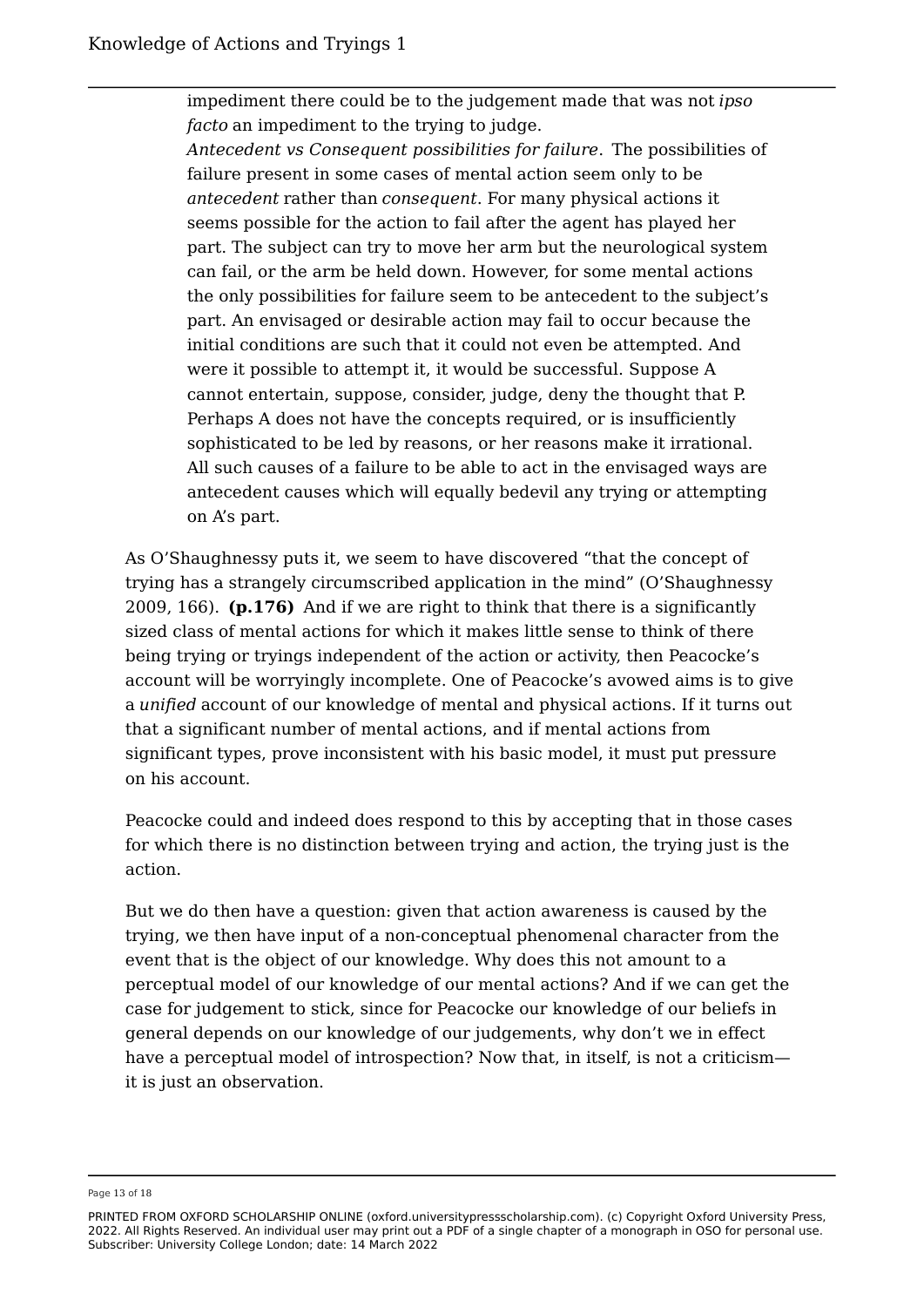impediment there could be to the judgement made that was not *ipso facto* an impediment to the trying to judge.

*Antecedent vs Consequent possibilities for failure*. The possibilities of failure present in some cases of mental action seem only to be *antecedent* rather than *consequent*. For many physical actions it seems possible for the action to fail after the agent has played her part. The subject can try to move her arm but the neurological system can fail, or the arm be held down. However, for some mental actions the only possibilities for failure seem to be antecedent to the subject's part. An envisaged or desirable action may fail to occur because the initial conditions are such that it could not even be attempted. And were it possible to attempt it, it would be successful. Suppose A cannot entertain, suppose, consider, judge, deny the thought that P. Perhaps A does not have the concepts required, or is insufficiently sophisticated to be led by reasons, or her reasons make it irrational. All such causes of a failure to be able to act in the envisaged ways are antecedent causes which will equally bedevil any trying or attempting on A's part.

As O'Shaughnessy puts it, we seem to have discovered "that the concept of trying has a strangely circumscribed application in the mind" (O'Shaughnessy [2009,](https://oxford.universitypressscholarship.com/view/10.1093/acprof:oso/9780199590650.001.0001/acprof-9780199590650-chapter-8#acprof-9780199590650-bibItem-187) 166). **(p.176)** And if we are right to think that there is a significantly sized class of mental actions for which it makes little sense to think of there being trying or tryings independent of the action or activity, then Peacocke's account will be worryingly incomplete. One of Peacocke's avowed aims is to give a *unified* account of our knowledge of mental and physical actions. If it turns out that a significant number of mental actions, and if mental actions from significant types, prove inconsistent with his basic model, it must put pressure on his account.

Peacocke could and indeed does respond to this by accepting that in those cases for which there is no distinction between trying and action, the trying just is the action.

But we do then have a question: given that action awareness is caused by the trying, we then have input of a non-conceptual phenomenal character from the event that is the object of our knowledge. Why does this not amount to a perceptual model of our knowledge of our mental actions? And if we can get the case for judgement to stick, since for Peacocke our knowledge of our beliefs in general depends on our knowledge of our judgements, why don't we in effect have a perceptual model of introspection? Now that, in itself, is not a criticism it is just an observation.

Page 13 of 18

PRINTED FROM OXFORD SCHOLARSHIP ONLINE (oxford.universitypressscholarship.com). (c) Copyright Oxford University Press, 2022. All Rights Reserved. An individual user may print out a PDF of a single chapter of a monograph in OSO for personal use. Subscriber: University College London; date: 14 March 2022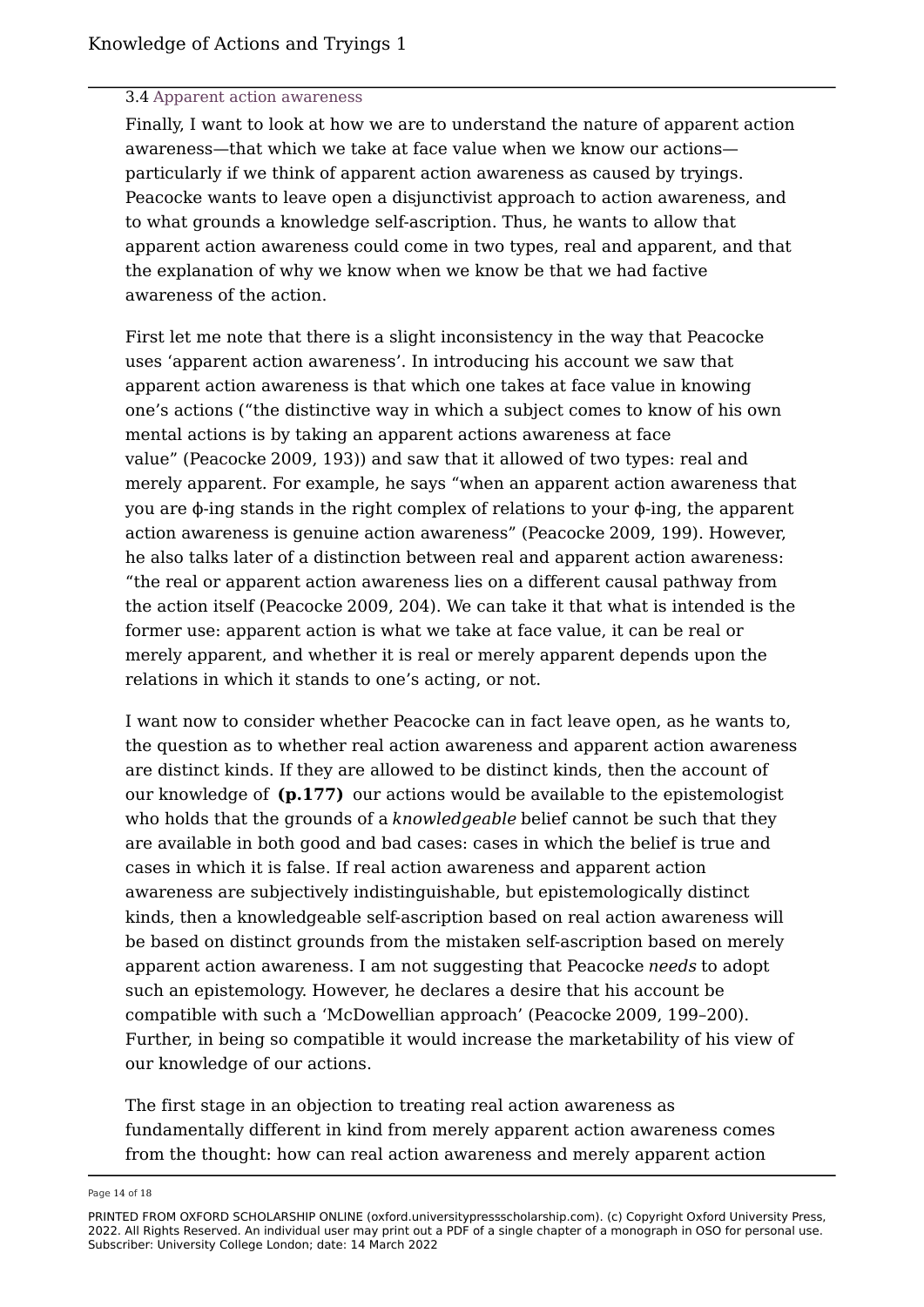#### 3.4 Apparent action awareness

Finally, I want to look at how we are to understand the nature of apparent action awareness—that which we take at face value when we know our actions particularly if we think of apparent action awareness as caused by tryings. Peacocke wants to leave open a disjunctivist approach to action awareness, and to what grounds a knowledge self-ascription. Thus, he wants to allow that apparent action awareness could come in two types, real and apparent, and that the explanation of why we know when we know be that we had factive awareness of the action.

First let me note that there is a slight inconsistency in the way that Peacocke uses 'apparent action awareness'. In introducing his account we saw that apparent action awareness is that which one takes at face value in knowing one's actions ("the distinctive way in which a subject comes to know of his own mental actions is by taking an apparent actions awareness at face value" (Peacocke [2009](https://oxford.universitypressscholarship.com/view/10.1093/acprof:oso/9780199590650.001.0001/acprof-9780199590650-chapter-8#acprof-9780199590650-bibItem-189), 193)) and saw that it allowed of two types: real and merely apparent. For example, he says "when an apparent action awareness that you are ϕ-ing stands in the right complex of relations to your ϕ-ing, the apparent action awareness is genuine action awareness" (Peacocke [2009](https://oxford.universitypressscholarship.com/view/10.1093/acprof:oso/9780199590650.001.0001/acprof-9780199590650-chapter-8#acprof-9780199590650-bibItem-189), 199). However, he also talks later of a distinction between real and apparent action awareness: "the real or apparent action awareness lies on a different causal pathway from the action itself (Peacocke [2009](https://oxford.universitypressscholarship.com/view/10.1093/acprof:oso/9780199590650.001.0001/acprof-9780199590650-chapter-8#acprof-9780199590650-bibItem-189), 204). We can take it that what is intended is the former use: apparent action is what we take at face value, it can be real or merely apparent, and whether it is real or merely apparent depends upon the relations in which it stands to one's acting, or not.

I want now to consider whether Peacocke can in fact leave open, as he wants to, the question as to whether real action awareness and apparent action awareness are distinct kinds. If they are allowed to be distinct kinds, then the account of our knowledge of **(p.177)** our actions would be available to the epistemologist who holds that the grounds of a *knowledgeable* belief cannot be such that they are available in both good and bad cases: cases in which the belief is true and cases in which it is false. If real action awareness and apparent action awareness are subjectively indistinguishable, but epistemologically distinct kinds, then a knowledgeable self-ascription based on real action awareness will be based on distinct grounds from the mistaken self-ascription based on merely apparent action awareness. I am not suggesting that Peacocke *needs* to adopt such an epistemology. However, he declares a desire that his account be compatible with such a 'McDowellian approach' (Peacocke [2009](https://oxford.universitypressscholarship.com/view/10.1093/acprof:oso/9780199590650.001.0001/acprof-9780199590650-chapter-8#acprof-9780199590650-bibItem-189), 199–200). Further, in being so compatible it would increase the marketability of his view of our knowledge of our actions.

The first stage in an objection to treating real action awareness as fundamentally different in kind from merely apparent action awareness comes from the thought: how can real action awareness and merely apparent action

Page 14 of 18

PRINTED FROM OXFORD SCHOLARSHIP ONLINE (oxford.universitypressscholarship.com). (c) Copyright Oxford University Press, 2022. All Rights Reserved. An individual user may print out a PDF of a single chapter of a monograph in OSO for personal use. Subscriber: University College London; date: 14 March 2022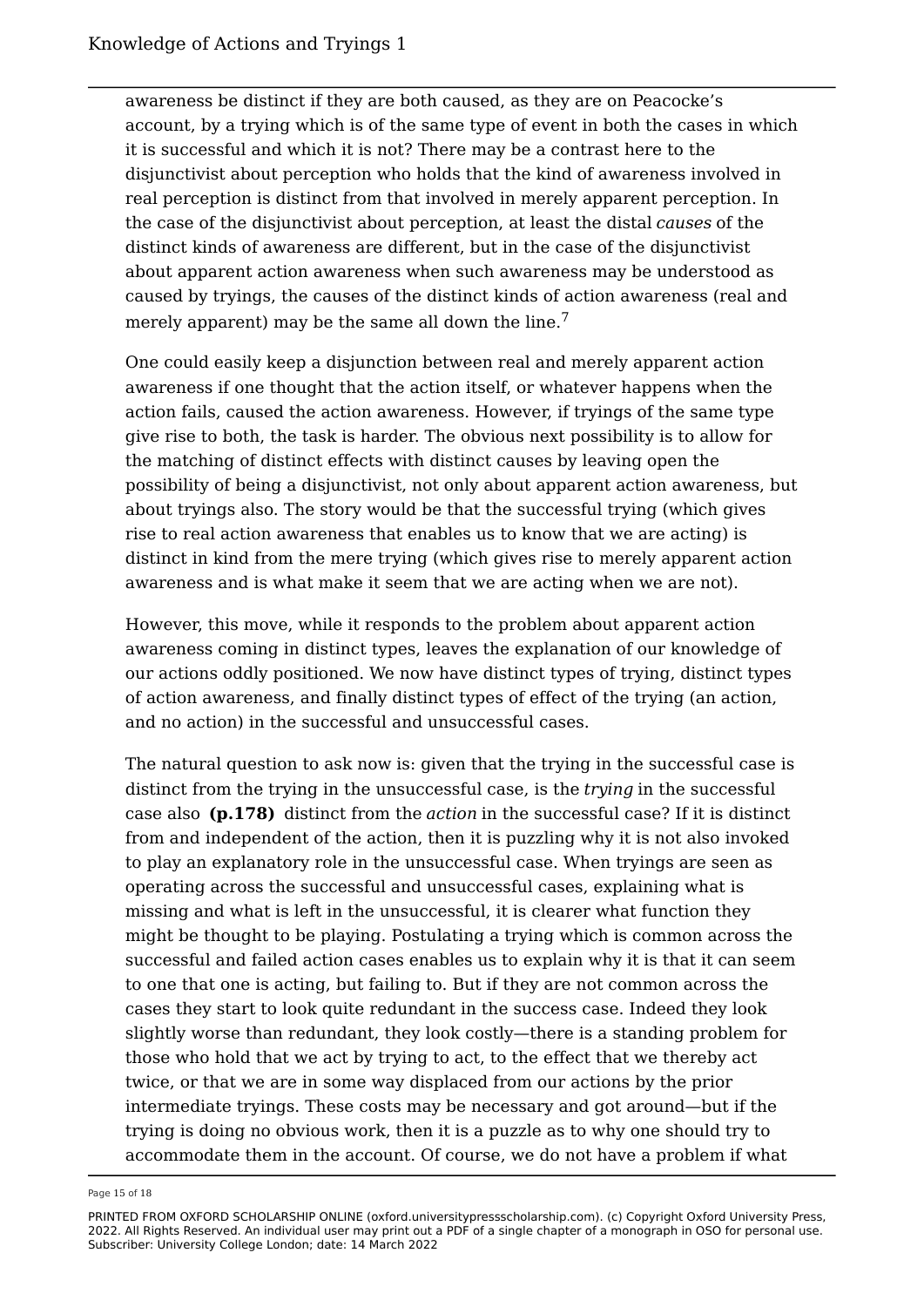awareness be distinct if they are both caused, as they are on Peacocke's account, by a trying which is of the same type of event in both the cases in which it is successful and which it is not? There may be a contrast here to the disjunctivist about perception who holds that the kind of awareness involved in real perception is distinct from that involved in merely apparent perception. In the case of the disjunctivist about perception, at least the distal *causes* of the distinct kinds of awareness are different, but in the case of the disjunctivist about apparent action awareness when such awareness may be understood as caused by tryings, the causes of the distinct kinds of action awareness (real and merely apparent) may be the same all down the line.<sup>[7](#page-17-4)</sup>

<span id="page-14-0"></span>One could easily keep a disjunction between real and merely apparent action awareness if one thought that the action itself, or whatever happens when the action fails, caused the action awareness. However, if tryings of the same type give rise to both, the task is harder. The obvious next possibility is to allow for the matching of distinct effects with distinct causes by leaving open the possibility of being a disjunctivist, not only about apparent action awareness, but about tryings also. The story would be that the successful trying (which gives rise to real action awareness that enables us to know that we are acting) is distinct in kind from the mere trying (which gives rise to merely apparent action awareness and is what make it seem that we are acting when we are not).

However, this move, while it responds to the problem about apparent action awareness coming in distinct types, leaves the explanation of our knowledge of our actions oddly positioned. We now have distinct types of trying, distinct types of action awareness, and finally distinct types of effect of the trying (an action, and no action) in the successful and unsuccessful cases.

The natural question to ask now is: given that the trying in the successful case is distinct from the trying in the unsuccessful case, is the *trying* in the successful case also **(p.178)** distinct from the *action* in the successful case? If it is distinct from and independent of the action, then it is puzzling why it is not also invoked to play an explanatory role in the unsuccessful case. When tryings are seen as operating across the successful and unsuccessful cases, explaining what is missing and what is left in the unsuccessful, it is clearer what function they might be thought to be playing. Postulating a trying which is common across the successful and failed action cases enables us to explain why it is that it can seem to one that one is acting, but failing to. But if they are not common across the cases they start to look quite redundant in the success case. Indeed they look slightly worse than redundant, they look costly—there is a standing problem for those who hold that we act by trying to act, to the effect that we thereby act twice, or that we are in some way displaced from our actions by the prior intermediate tryings. These costs may be necessary and got around—but if the trying is doing no obvious work, then it is a puzzle as to why one should try to accommodate them in the account. Of course, we do not have a problem if what

Page 15 of 18

PRINTED FROM OXFORD SCHOLARSHIP ONLINE (oxford.universitypressscholarship.com). (c) Copyright Oxford University Press, 2022. All Rights Reserved. An individual user may print out a PDF of a single chapter of a monograph in OSO for personal use. Subscriber: University College London; date: 14 March 2022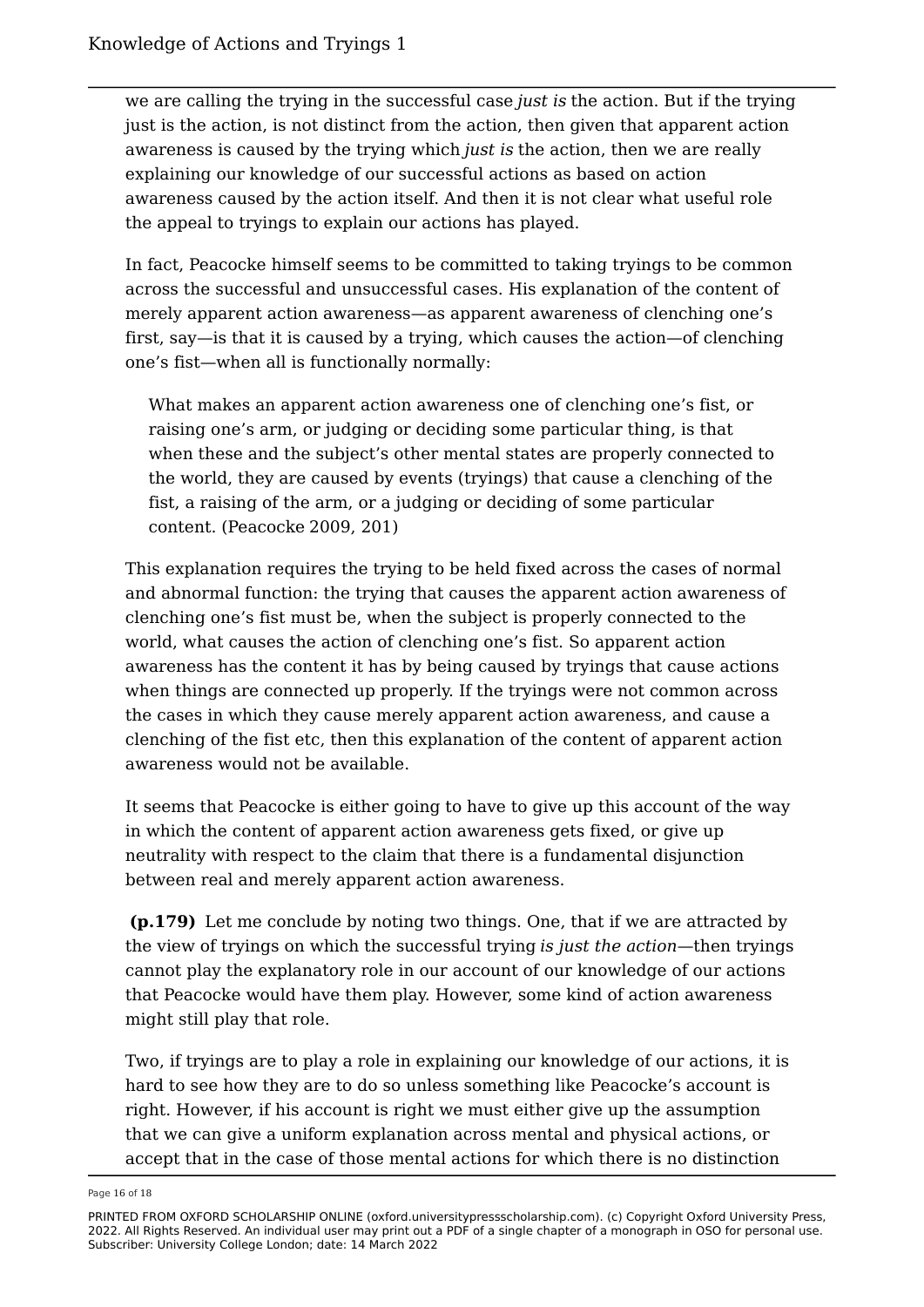we are calling the trying in the successful case *just is* the action. But if the trying just is the action, is not distinct from the action, then given that apparent action awareness is caused by the trying which *just is* the action, then we are really explaining our knowledge of our successful actions as based on action awareness caused by the action itself. And then it is not clear what useful role the appeal to tryings to explain our actions has played.

In fact, Peacocke himself seems to be committed to taking tryings to be common across the successful and unsuccessful cases. His explanation of the content of merely apparent action awareness—as apparent awareness of clenching one's first, say—is that it is caused by a trying, which causes the action—of clenching one's fist—when all is functionally normally:

What makes an apparent action awareness one of clenching one's fist, or raising one's arm, or judging or deciding some particular thing, is that when these and the subject's other mental states are properly connected to the world, they are caused by events (tryings) that cause a clenching of the fist, a raising of the arm, or a judging or deciding of some particular content. (Peacocke [2009](https://oxford.universitypressscholarship.com/view/10.1093/acprof:oso/9780199590650.001.0001/acprof-9780199590650-chapter-8#acprof-9780199590650-bibItem-189), 201)

This explanation requires the trying to be held fixed across the cases of normal and abnormal function: the trying that causes the apparent action awareness of clenching one's fist must be, when the subject is properly connected to the world, what causes the action of clenching one's fist. So apparent action awareness has the content it has by being caused by tryings that cause actions when things are connected up properly. If the tryings were not common across the cases in which they cause merely apparent action awareness, and cause a clenching of the fist etc, then this explanation of the content of apparent action awareness would not be available.

It seems that Peacocke is either going to have to give up this account of the way in which the content of apparent action awareness gets fixed, or give up neutrality with respect to the claim that there is a fundamental disjunction between real and merely apparent action awareness.

 **(p.179)** Let me conclude by noting two things. One, that if we are attracted by the view of tryings on which the successful trying *is just the action*—then tryings cannot play the explanatory role in our account of our knowledge of our actions that Peacocke would have them play. However, some kind of action awareness might still play that role.

Two, if tryings are to play a role in explaining our knowledge of our actions, it is hard to see how they are to do so unless something like Peacocke's account is right. However, if his account is right we must either give up the assumption that we can give a uniform explanation across mental and physical actions, or accept that in the case of those mental actions for which there is no distinction

Page 16 of 18

PRINTED FROM OXFORD SCHOLARSHIP ONLINE (oxford.universitypressscholarship.com). (c) Copyright Oxford University Press, 2022. All Rights Reserved. An individual user may print out a PDF of a single chapter of a monograph in OSO for personal use. Subscriber: University College London; date: 14 March 2022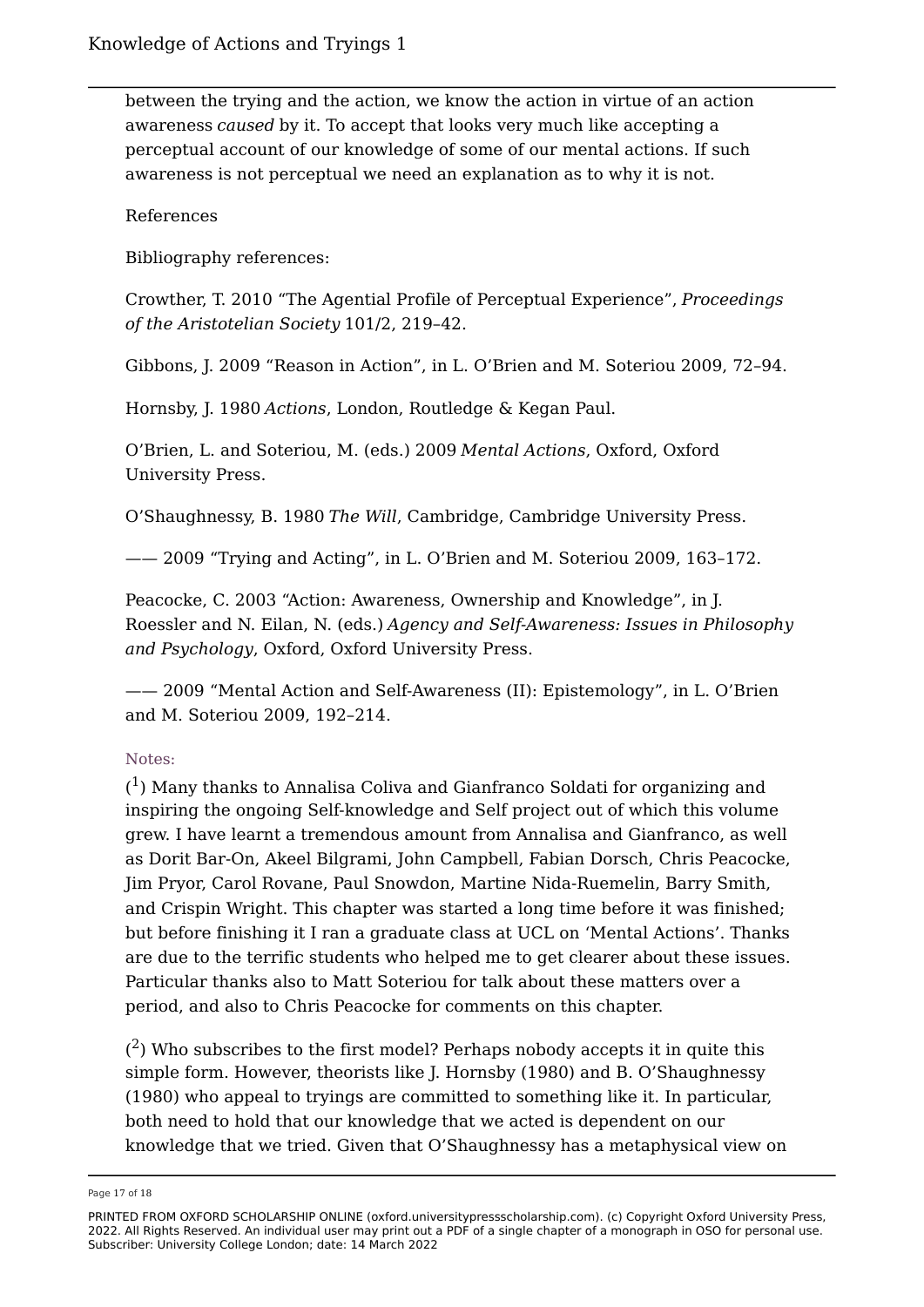between the trying and the action, we know the action in virtue of an action awareness *caused* by it. To accept that looks very much like accepting a perceptual account of our knowledge of some of our mental actions. If such awareness is not perceptual we need an explanation as to why it is not.

References

Bibliography references:

Crowther, T. 2010 "The Agential Profile of Perceptual Experience", *Proceedings of the Aristotelian Society* 101/2, 219–42.

Gibbons, J. 2009 "Reason in Action", in L. O'Brien and M. Soteriou 2009, 72–94.

Hornsby, J. 1980 *Actions*, London, Routledge & Kegan Paul.

O'Brien, L. and Soteriou, M. (eds.) 2009 *Mental Actions*, Oxford, Oxford University Press.

O'Shaughnessy, B. 1980 *The Will*, Cambridge, Cambridge University Press.

—— 2009 "Trying and Acting", in L. O'Brien and M. Soteriou 2009, 163–172.

Peacocke, C. 2003 "Action: Awareness, Ownership and Knowledge", in J. Roessler and N. Eilan, N. (eds.) *Agency and Self-Awareness: Issues in Philosophy and Psychology*, Oxford, Oxford University Press.

—— 2009 "Mental Action and Self-Awareness (II): Epistemology", in L. O'Brien and M. Soteriou 2009, 192–214.

# Notes:

( 1 ) Many thanks to Annalisa Coliva and Gianfranco Soldati for organizing and inspiring the ongoing Self-knowledge and Self project out of which this volume grew. I have learnt a tremendous amount from Annalisa and Gianfranco, as well as Dorit Bar-On, Akeel Bilgrami, John Campbell, Fabian Dorsch, Chris Peacocke, Jim Pryor, Carol Rovane, Paul Snowdon, Martine Nida-Ruemelin, Barry Smith, and Crispin Wright. This chapter was started a long time before it was finished; but before finishing it I ran a graduate class at UCL on 'Mental Actions'. Thanks are due to the terrific students who helped me to get clearer about these issues. Particular thanks also to Matt Soteriou for talk about these matters over a period, and also to Chris Peacocke for comments on this chapter.

<span id="page-16-0"></span> $(2)$  $(2)$  $(2)$  Who subscribes to the first model? Perhaps nobody accepts it in quite this simple form. However, theorists like J. Hornsby ([1980](https://oxford.universitypressscholarship.com/view/10.1093/acprof:oso/9780199590650.001.0001/acprof-9780199590650-chapter-8#acprof-9780199590650-bibItem-184)) and B. O'Shaughnessy ([1980\)](https://oxford.universitypressscholarship.com/view/10.1093/acprof:oso/9780199590650.001.0001/acprof-9780199590650-chapter-8#acprof-9780199590650-bibItem-186) who appeal to tryings are committed to something like it. In particular, both need to hold that our knowledge that we acted is dependent on our knowledge that we tried. Given that O'Shaughnessy has a metaphysical view on

Page 17 of 18

PRINTED FROM OXFORD SCHOLARSHIP ONLINE (oxford.universitypressscholarship.com). (c) Copyright Oxford University Press, 2022. All Rights Reserved. An individual user may print out a PDF of a single chapter of a monograph in OSO for personal use. Subscriber: University College London; date: 14 March 2022